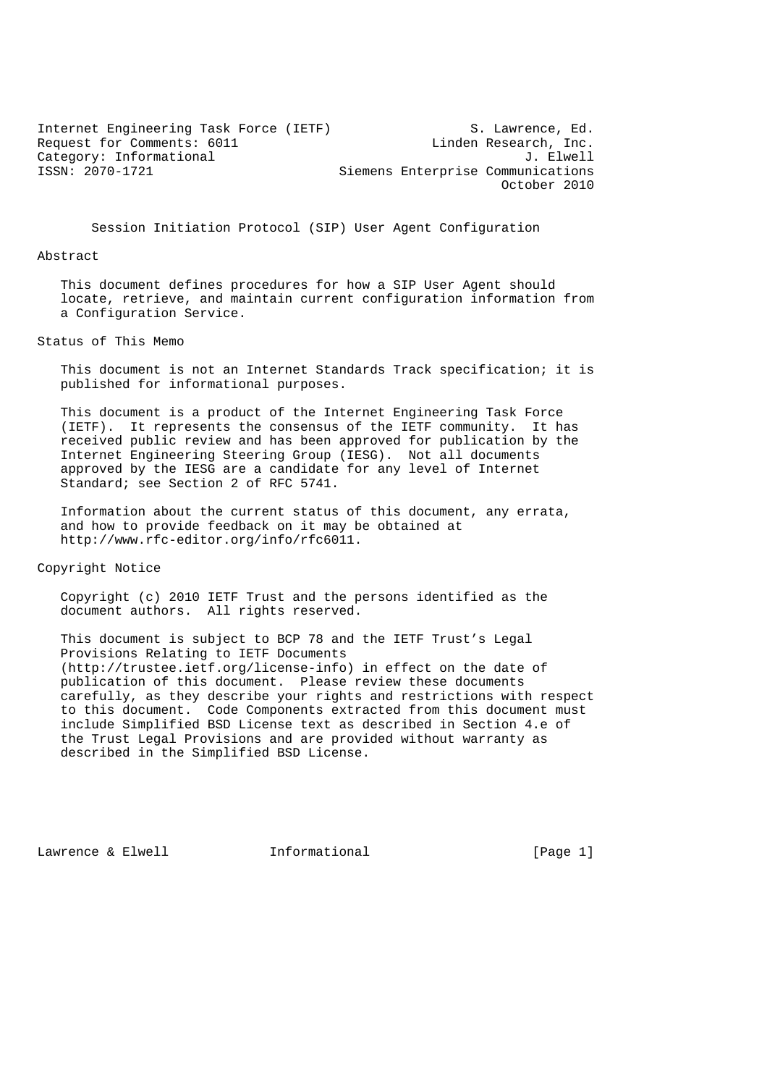Internet Engineering Task Force (IETF) S. Lawrence, Ed.<br>Request for Comments: 6011 [Inden Research, Inc. Request for Comments: 6011 Linden Research, Inc.<br>Category: Informational discussed by the U. Elwell Category: Informational<br>ISSN: 2070-1721 Siemens Enterprise Communications October 2010

Session Initiation Protocol (SIP) User Agent Configuration

#### Abstract

 This document defines procedures for how a SIP User Agent should locate, retrieve, and maintain current configuration information from a Configuration Service.

### Status of This Memo

 This document is not an Internet Standards Track specification; it is published for informational purposes.

 This document is a product of the Internet Engineering Task Force (IETF). It represents the consensus of the IETF community. It has received public review and has been approved for publication by the Internet Engineering Steering Group (IESG). Not all documents approved by the IESG are a candidate for any level of Internet Standard; see Section 2 of RFC 5741.

 Information about the current status of this document, any errata, and how to provide feedback on it may be obtained at http://www.rfc-editor.org/info/rfc6011.

Copyright Notice

 Copyright (c) 2010 IETF Trust and the persons identified as the document authors. All rights reserved.

 This document is subject to BCP 78 and the IETF Trust's Legal Provisions Relating to IETF Documents (http://trustee.ietf.org/license-info) in effect on the date of publication of this document. Please review these documents carefully, as they describe your rights and restrictions with respect to this document. Code Components extracted from this document must include Simplified BSD License text as described in Section 4.e of the Trust Legal Provisions and are provided without warranty as described in the Simplified BSD License.

Lawrence & Elwell **Informational** [Page 1]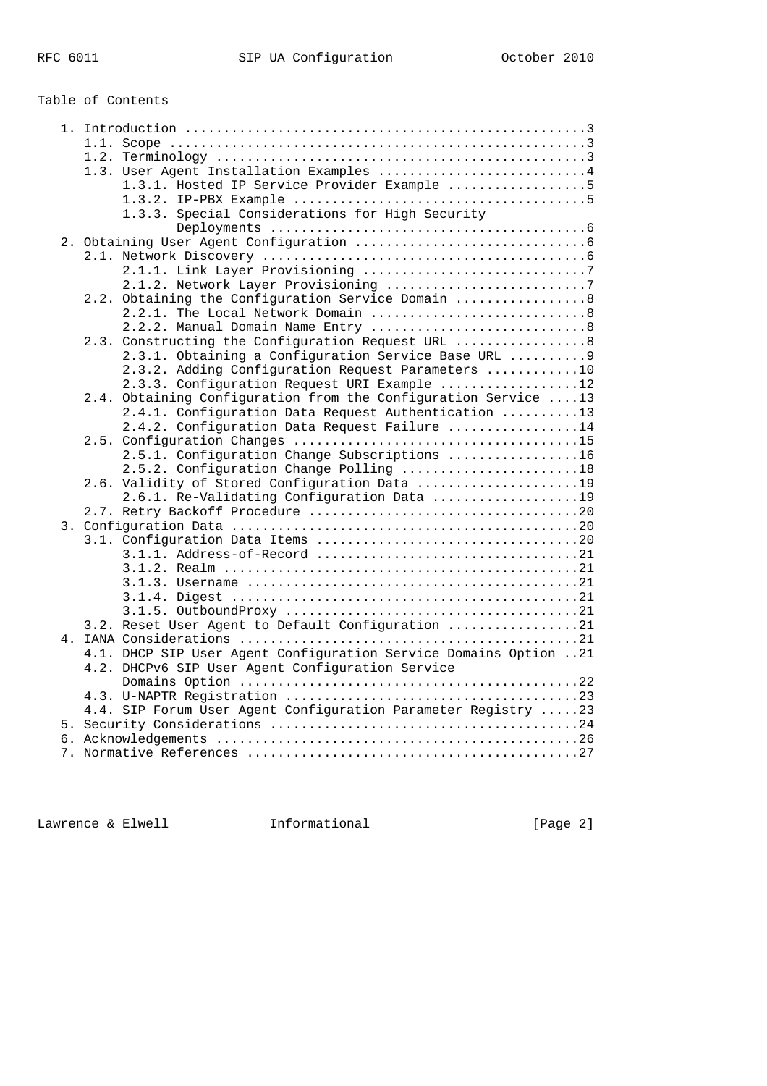# Table of Contents

|                                                  | 1.3. User Agent Installation Examples 4                          |
|--------------------------------------------------|------------------------------------------------------------------|
|                                                  | 1.3.1. Hosted IP Service Provider Example 5                      |
|                                                  |                                                                  |
| 1.3.3. Special Considerations for High Security  |                                                                  |
|                                                  |                                                                  |
|                                                  |                                                                  |
|                                                  |                                                                  |
|                                                  |                                                                  |
|                                                  | 2.1.2. Network Layer Provisioning 7                              |
|                                                  | 2.2. Obtaining the Configuration Service Domain  8               |
|                                                  |                                                                  |
|                                                  | 2.2.2. Manual Domain Name Entry 8                                |
|                                                  | 2.3. Constructing the Configuration Request URL  8               |
|                                                  | 2.3.1. Obtaining a Configuration Service Base URL  9             |
|                                                  | 2.3.2. Adding Configuration Request Parameters 10                |
|                                                  | 2.3.3. Configuration Request URI Example 12                      |
|                                                  | 2.4. Obtaining Configuration from the Configuration Service 13   |
|                                                  | 2.4.1. Configuration Data Request Authentication 13              |
|                                                  | 2.4.2. Configuration Data Request Failure 14                     |
|                                                  |                                                                  |
|                                                  | 2.5.1. Configuration Change Subscriptions 16                     |
|                                                  | 2.5.2. Configuration Change Polling 18                           |
|                                                  | 2.6. Validity of Stored Configuration Data 19                    |
|                                                  | 2.6.1. Re-Validating Configuration Data 19                       |
|                                                  |                                                                  |
|                                                  |                                                                  |
|                                                  |                                                                  |
|                                                  |                                                                  |
|                                                  |                                                                  |
|                                                  |                                                                  |
|                                                  |                                                                  |
|                                                  | 3.2. Reset User Agent to Default Configuration 21                |
|                                                  |                                                                  |
|                                                  | 4.1. DHCP SIP User Agent Configuration Service Domains Option 21 |
| 4.2. DHCPv6 SIP User Agent Configuration Service |                                                                  |
|                                                  |                                                                  |
|                                                  |                                                                  |
|                                                  | 4.4. SIP Forum User Agent Configuration Parameter Registry 23    |
|                                                  |                                                                  |
|                                                  |                                                                  |
|                                                  |                                                                  |

Lawrence & Elwell **Informational** 1. [Page 2]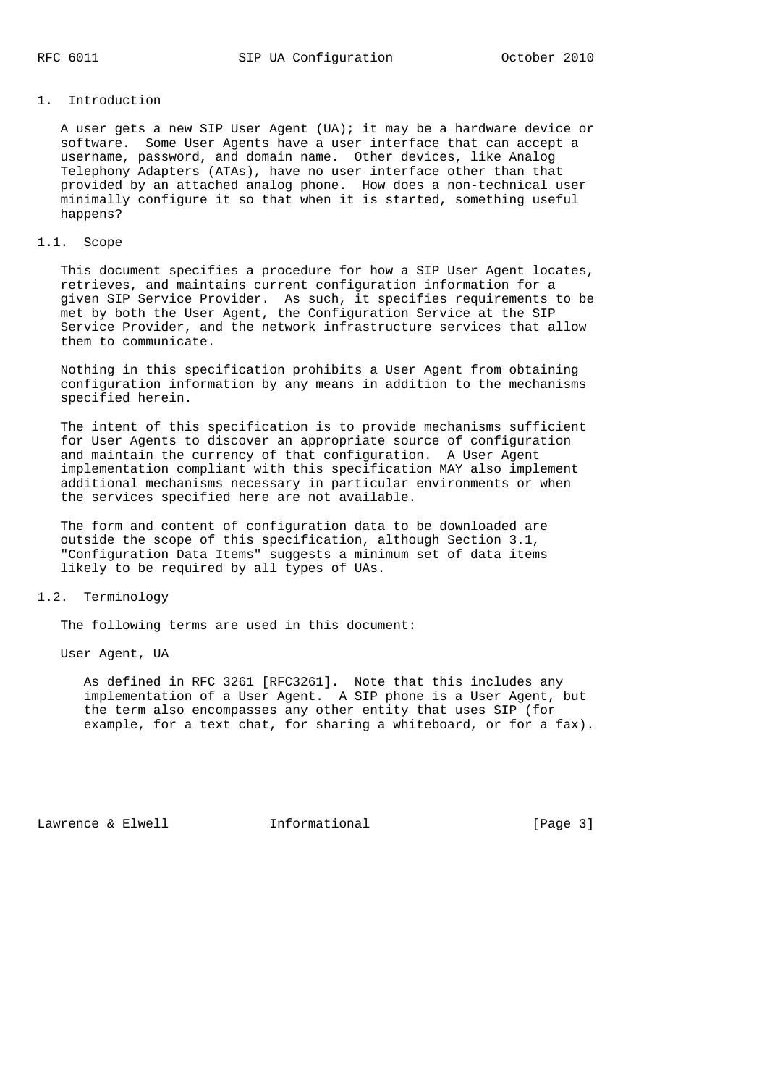# 1. Introduction

 A user gets a new SIP User Agent (UA); it may be a hardware device or software. Some User Agents have a user interface that can accept a username, password, and domain name. Other devices, like Analog Telephony Adapters (ATAs), have no user interface other than that provided by an attached analog phone. How does a non-technical user minimally configure it so that when it is started, something useful happens?

#### 1.1. Scope

 This document specifies a procedure for how a SIP User Agent locates, retrieves, and maintains current configuration information for a given SIP Service Provider. As such, it specifies requirements to be met by both the User Agent, the Configuration Service at the SIP Service Provider, and the network infrastructure services that allow them to communicate.

 Nothing in this specification prohibits a User Agent from obtaining configuration information by any means in addition to the mechanisms specified herein.

 The intent of this specification is to provide mechanisms sufficient for User Agents to discover an appropriate source of configuration and maintain the currency of that configuration. A User Agent implementation compliant with this specification MAY also implement additional mechanisms necessary in particular environments or when the services specified here are not available.

 The form and content of configuration data to be downloaded are outside the scope of this specification, although Section 3.1, "Configuration Data Items" suggests a minimum set of data items likely to be required by all types of UAs.

# 1.2. Terminology

The following terms are used in this document:

User Agent, UA

 As defined in RFC 3261 [RFC3261]. Note that this includes any implementation of a User Agent. A SIP phone is a User Agent, but the term also encompasses any other entity that uses SIP (for example, for a text chat, for sharing a whiteboard, or for a fax).

Lawrence & Elwell **Informational** [Page 3]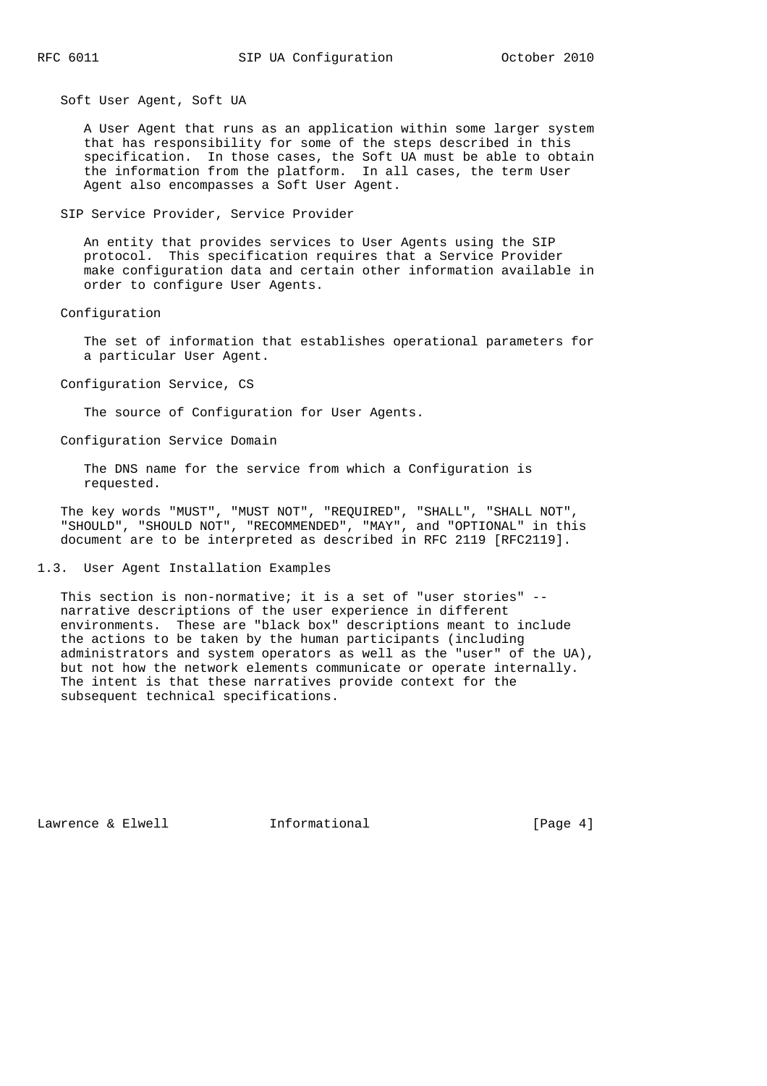Soft User Agent, Soft UA

 A User Agent that runs as an application within some larger system that has responsibility for some of the steps described in this specification. In those cases, the Soft UA must be able to obtain the information from the platform. In all cases, the term User Agent also encompasses a Soft User Agent.

SIP Service Provider, Service Provider

 An entity that provides services to User Agents using the SIP protocol. This specification requires that a Service Provider make configuration data and certain other information available in order to configure User Agents.

Configuration

 The set of information that establishes operational parameters for a particular User Agent.

Configuration Service, CS

The source of Configuration for User Agents.

Configuration Service Domain

 The DNS name for the service from which a Configuration is requested.

 The key words "MUST", "MUST NOT", "REQUIRED", "SHALL", "SHALL NOT", "SHOULD", "SHOULD NOT", "RECOMMENDED", "MAY", and "OPTIONAL" in this document are to be interpreted as described in RFC 2119 [RFC2119].

1.3. User Agent Installation Examples

 This section is non-normative; it is a set of "user stories" - narrative descriptions of the user experience in different environments. These are "black box" descriptions meant to include the actions to be taken by the human participants (including administrators and system operators as well as the "user" of the UA), but not how the network elements communicate or operate internally. The intent is that these narratives provide context for the subsequent technical specifications.

Lawrence & Elwell **Informational** [Page 4]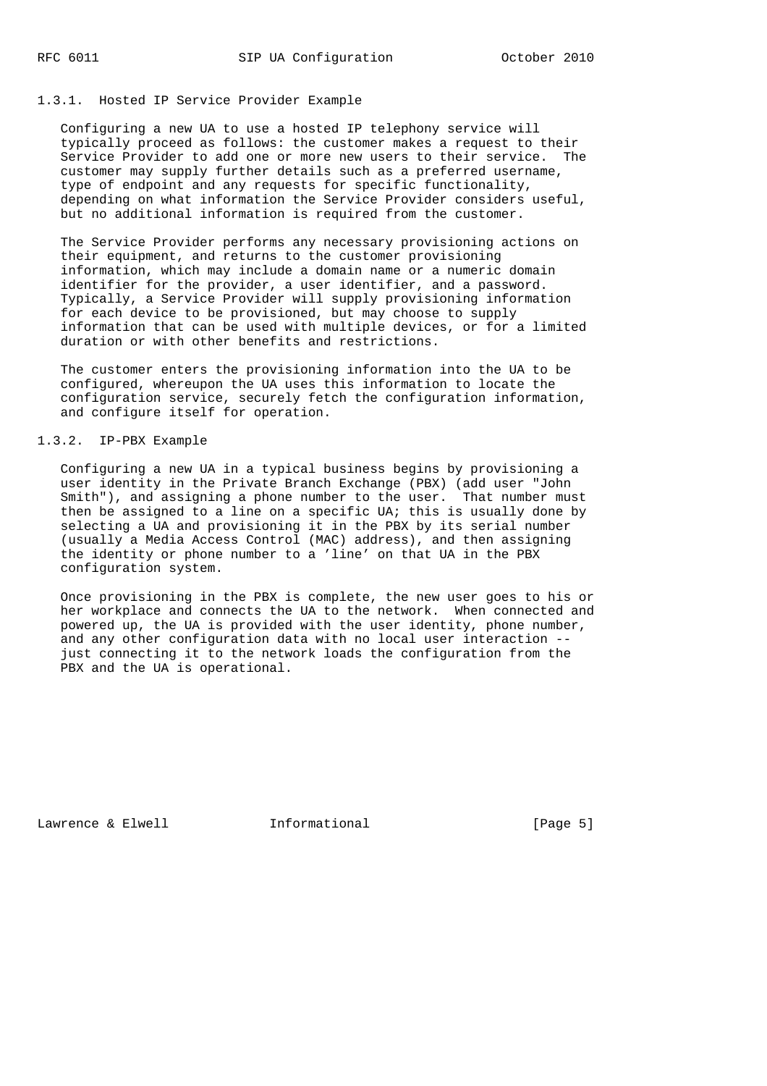# 1.3.1. Hosted IP Service Provider Example

 Configuring a new UA to use a hosted IP telephony service will typically proceed as follows: the customer makes a request to their Service Provider to add one or more new users to their service. The customer may supply further details such as a preferred username, type of endpoint and any requests for specific functionality, depending on what information the Service Provider considers useful, but no additional information is required from the customer.

 The Service Provider performs any necessary provisioning actions on their equipment, and returns to the customer provisioning information, which may include a domain name or a numeric domain identifier for the provider, a user identifier, and a password. Typically, a Service Provider will supply provisioning information for each device to be provisioned, but may choose to supply information that can be used with multiple devices, or for a limited duration or with other benefits and restrictions.

 The customer enters the provisioning information into the UA to be configured, whereupon the UA uses this information to locate the configuration service, securely fetch the configuration information, and configure itself for operation.

# 1.3.2. IP-PBX Example

 Configuring a new UA in a typical business begins by provisioning a user identity in the Private Branch Exchange (PBX) (add user "John Smith"), and assigning a phone number to the user. That number must then be assigned to a line on a specific UA; this is usually done by selecting a UA and provisioning it in the PBX by its serial number (usually a Media Access Control (MAC) address), and then assigning the identity or phone number to a 'line' on that UA in the PBX configuration system.

 Once provisioning in the PBX is complete, the new user goes to his or her workplace and connects the UA to the network. When connected and powered up, the UA is provided with the user identity, phone number, and any other configuration data with no local user interaction - just connecting it to the network loads the configuration from the PBX and the UA is operational.

Lawrence & Elwell **Informational** [Page 5]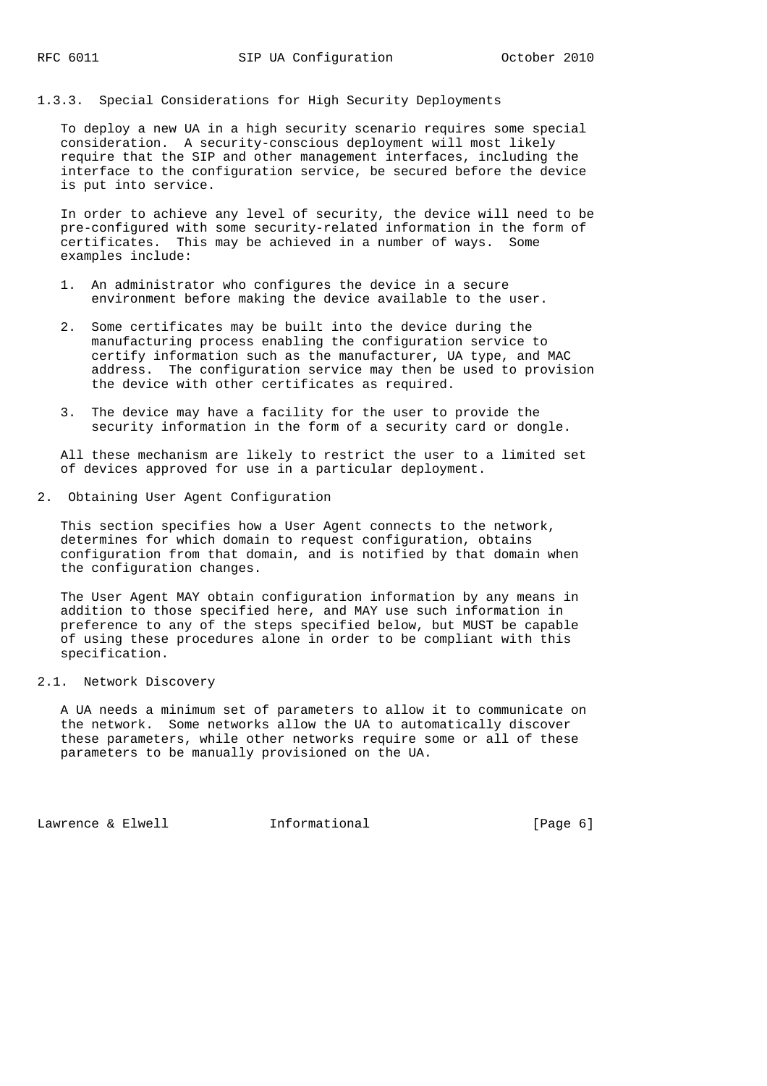# 1.3.3. Special Considerations for High Security Deployments

 To deploy a new UA in a high security scenario requires some special consideration. A security-conscious deployment will most likely require that the SIP and other management interfaces, including the interface to the configuration service, be secured before the device is put into service.

 In order to achieve any level of security, the device will need to be pre-configured with some security-related information in the form of certificates. This may be achieved in a number of ways. Some examples include:

- 1. An administrator who configures the device in a secure environment before making the device available to the user.
- 2. Some certificates may be built into the device during the manufacturing process enabling the configuration service to certify information such as the manufacturer, UA type, and MAC address. The configuration service may then be used to provision the device with other certificates as required.
- 3. The device may have a facility for the user to provide the security information in the form of a security card or dongle.

 All these mechanism are likely to restrict the user to a limited set of devices approved for use in a particular deployment.

2. Obtaining User Agent Configuration

 This section specifies how a User Agent connects to the network, determines for which domain to request configuration, obtains configuration from that domain, and is notified by that domain when the configuration changes.

 The User Agent MAY obtain configuration information by any means in addition to those specified here, and MAY use such information in preference to any of the steps specified below, but MUST be capable of using these procedures alone in order to be compliant with this specification.

# 2.1. Network Discovery

 A UA needs a minimum set of parameters to allow it to communicate on the network. Some networks allow the UA to automatically discover these parameters, while other networks require some or all of these parameters to be manually provisioned on the UA.

Lawrence & Elwell [Page 6]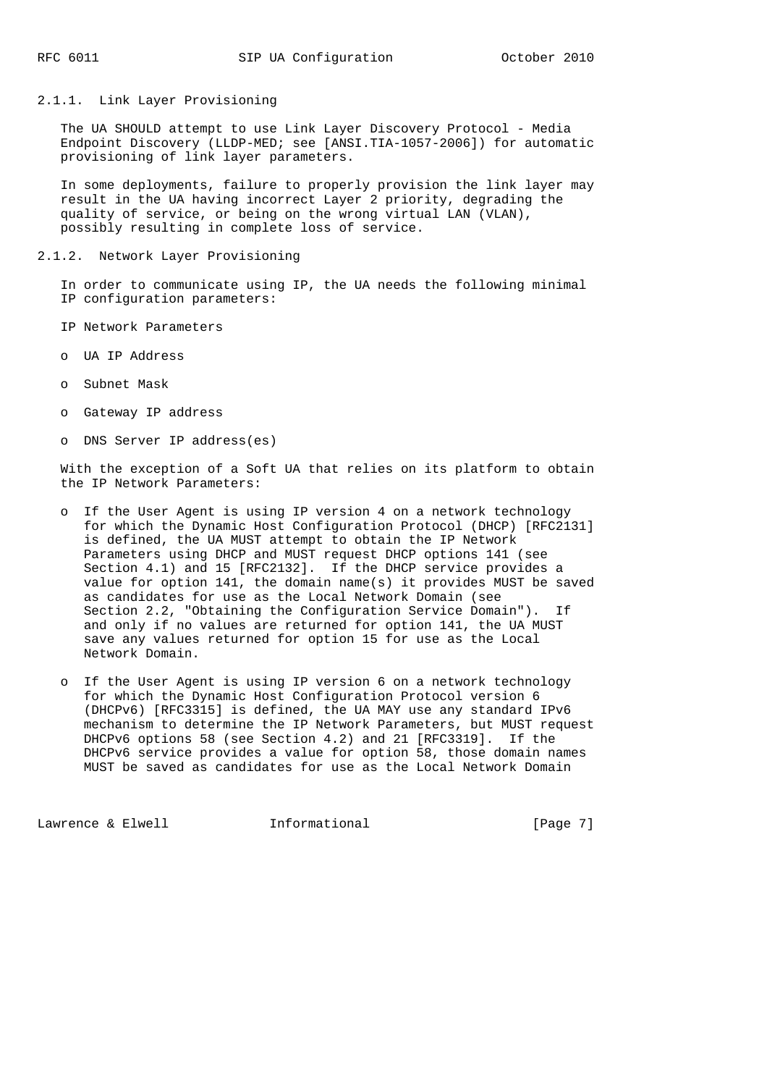2.1.1. Link Layer Provisioning

 The UA SHOULD attempt to use Link Layer Discovery Protocol - Media Endpoint Discovery (LLDP-MED; see [ANSI.TIA-1057-2006]) for automatic provisioning of link layer parameters.

 In some deployments, failure to properly provision the link layer may result in the UA having incorrect Layer 2 priority, degrading the quality of service, or being on the wrong virtual LAN (VLAN), possibly resulting in complete loss of service.

2.1.2. Network Layer Provisioning

 In order to communicate using IP, the UA needs the following minimal IP configuration parameters:

- IP Network Parameters
- o UA IP Address
- o Subnet Mask
- o Gateway IP address
- o DNS Server IP address(es)

 With the exception of a Soft UA that relies on its platform to obtain the IP Network Parameters:

- o If the User Agent is using IP version 4 on a network technology for which the Dynamic Host Configuration Protocol (DHCP) [RFC2131] is defined, the UA MUST attempt to obtain the IP Network Parameters using DHCP and MUST request DHCP options 141 (see Section 4.1) and 15 [RFC2132]. If the DHCP service provides a value for option 141, the domain name(s) it provides MUST be saved as candidates for use as the Local Network Domain (see Section 2.2, "Obtaining the Configuration Service Domain"). If and only if no values are returned for option 141, the UA MUST save any values returned for option 15 for use as the Local Network Domain.
- o If the User Agent is using IP version 6 on a network technology for which the Dynamic Host Configuration Protocol version 6 (DHCPv6) [RFC3315] is defined, the UA MAY use any standard IPv6 mechanism to determine the IP Network Parameters, but MUST request DHCPv6 options 58 (see Section 4.2) and 21 [RFC3319]. If the DHCPv6 service provides a value for option 58, those domain names MUST be saved as candidates for use as the Local Network Domain

Lawrence & Elwell **Informational** [Page 7]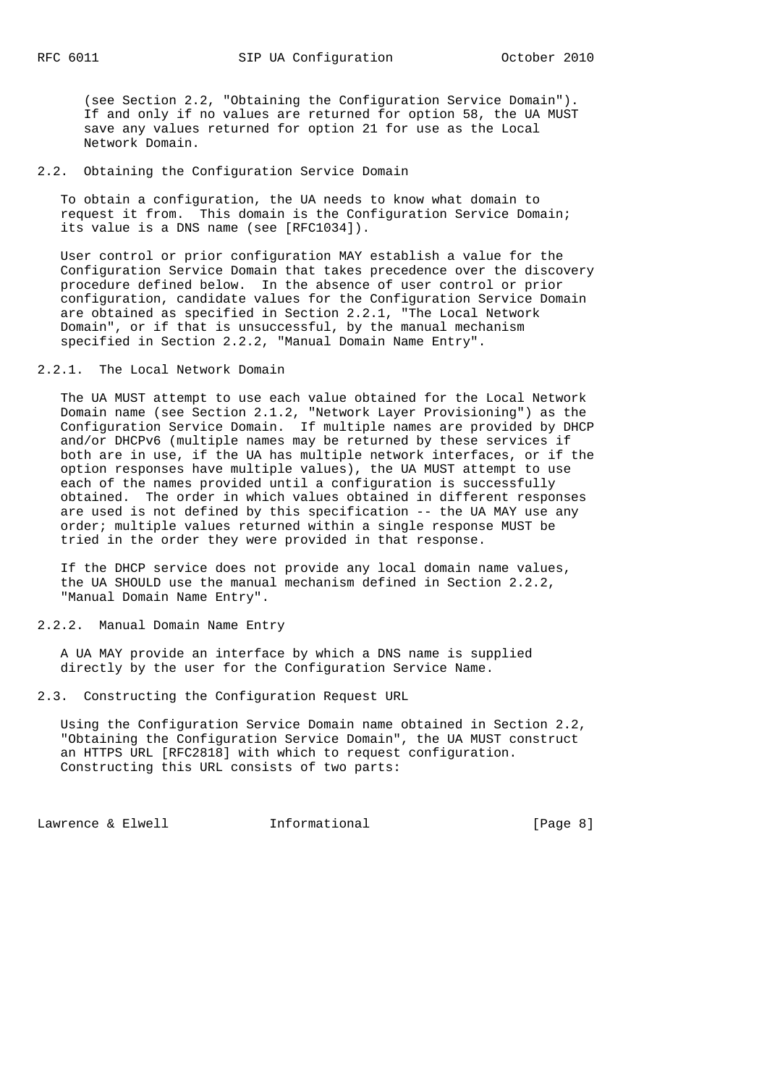(see Section 2.2, "Obtaining the Configuration Service Domain"). If and only if no values are returned for option 58, the UA MUST save any values returned for option 21 for use as the Local Network Domain.

# 2.2. Obtaining the Configuration Service Domain

 To obtain a configuration, the UA needs to know what domain to request it from. This domain is the Configuration Service Domain; its value is a DNS name (see [RFC1034]).

 User control or prior configuration MAY establish a value for the Configuration Service Domain that takes precedence over the discovery procedure defined below. In the absence of user control or prior configuration, candidate values for the Configuration Service Domain are obtained as specified in Section 2.2.1, "The Local Network Domain", or if that is unsuccessful, by the manual mechanism specified in Section 2.2.2, "Manual Domain Name Entry".

# 2.2.1. The Local Network Domain

 The UA MUST attempt to use each value obtained for the Local Network Domain name (see Section 2.1.2, "Network Layer Provisioning") as the Configuration Service Domain. If multiple names are provided by DHCP and/or DHCPv6 (multiple names may be returned by these services if both are in use, if the UA has multiple network interfaces, or if the option responses have multiple values), the UA MUST attempt to use each of the names provided until a configuration is successfully obtained. The order in which values obtained in different responses are used is not defined by this specification -- the UA MAY use any order; multiple values returned within a single response MUST be tried in the order they were provided in that response.

 If the DHCP service does not provide any local domain name values, the UA SHOULD use the manual mechanism defined in Section 2.2.2, "Manual Domain Name Entry".

#### 2.2.2. Manual Domain Name Entry

 A UA MAY provide an interface by which a DNS name is supplied directly by the user for the Configuration Service Name.

2.3. Constructing the Configuration Request URL

 Using the Configuration Service Domain name obtained in Section 2.2, "Obtaining the Configuration Service Domain", the UA MUST construct an HTTPS URL [RFC2818] with which to request configuration. Constructing this URL consists of two parts:

Lawrence & Elwell [Page 8]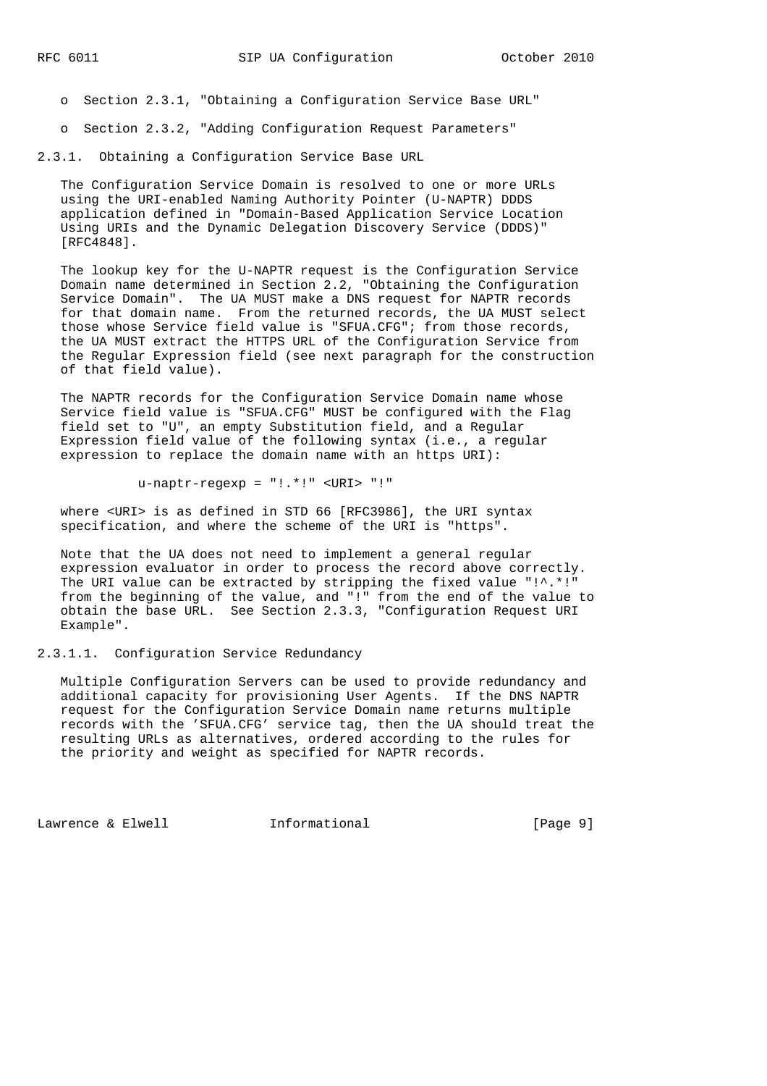- o Section 2.3.1, "Obtaining a Configuration Service Base URL"
- o Section 2.3.2, "Adding Configuration Request Parameters"

2.3.1. Obtaining a Configuration Service Base URL

 The Configuration Service Domain is resolved to one or more URLs using the URI-enabled Naming Authority Pointer (U-NAPTR) DDDS application defined in "Domain-Based Application Service Location Using URIs and the Dynamic Delegation Discovery Service (DDDS)" [RFC4848].

 The lookup key for the U-NAPTR request is the Configuration Service Domain name determined in Section 2.2, "Obtaining the Configuration Service Domain". The UA MUST make a DNS request for NAPTR records for that domain name. From the returned records, the UA MUST select those whose Service field value is "SFUA.CFG"; from those records, the UA MUST extract the HTTPS URL of the Configuration Service from the Regular Expression field (see next paragraph for the construction of that field value).

 The NAPTR records for the Configuration Service Domain name whose Service field value is "SFUA.CFG" MUST be configured with the Flag field set to "U", an empty Substitution field, and a Regular Expression field value of the following syntax (i.e., a regular expression to replace the domain name with an https URI):

u-naptr-regexp = "!.\*!" <URI> "!"

 where <URI> is as defined in STD 66 [RFC3986], the URI syntax specification, and where the scheme of the URI is "https".

 Note that the UA does not need to implement a general regular expression evaluator in order to process the record above correctly. The URI value can be extracted by stripping the fixed value  $"!^*$ .\*!" from the beginning of the value, and "!" from the end of the value to obtain the base URL. See Section 2.3.3, "Configuration Request URI Example".

2.3.1.1. Configuration Service Redundancy

 Multiple Configuration Servers can be used to provide redundancy and additional capacity for provisioning User Agents. If the DNS NAPTR request for the Configuration Service Domain name returns multiple records with the 'SFUA.CFG' service tag, then the UA should treat the resulting URLs as alternatives, ordered according to the rules for the priority and weight as specified for NAPTR records.

Lawrence & Elwell **Informational** [Page 9]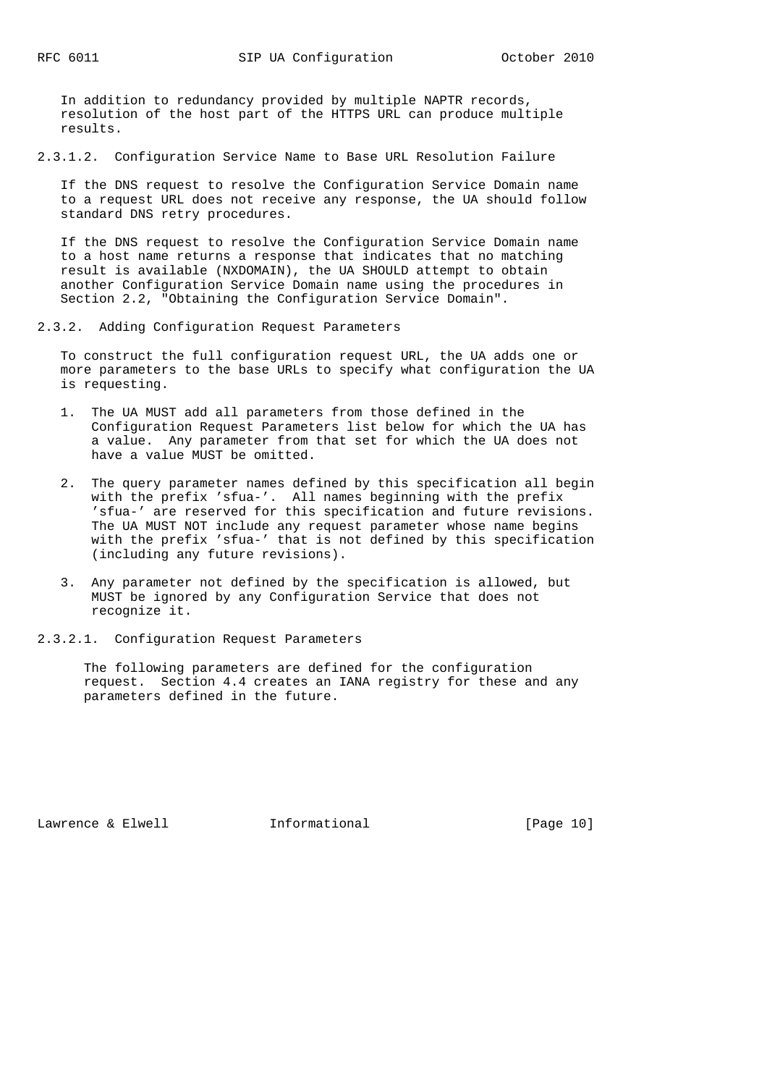In addition to redundancy provided by multiple NAPTR records, resolution of the host part of the HTTPS URL can produce multiple results.

2.3.1.2. Configuration Service Name to Base URL Resolution Failure

 If the DNS request to resolve the Configuration Service Domain name to a request URL does not receive any response, the UA should follow standard DNS retry procedures.

 If the DNS request to resolve the Configuration Service Domain name to a host name returns a response that indicates that no matching result is available (NXDOMAIN), the UA SHOULD attempt to obtain another Configuration Service Domain name using the procedures in Section 2.2, "Obtaining the Configuration Service Domain".

2.3.2. Adding Configuration Request Parameters

 To construct the full configuration request URL, the UA adds one or more parameters to the base URLs to specify what configuration the UA is requesting.

- 1. The UA MUST add all parameters from those defined in the Configuration Request Parameters list below for which the UA has a value. Any parameter from that set for which the UA does not have a value MUST be omitted.
- 2. The query parameter names defined by this specification all begin with the prefix 'sfua-'. All names beginning with the prefix 'sfua-' are reserved for this specification and future revisions. The UA MUST NOT include any request parameter whose name begins with the prefix 'sfua-' that is not defined by this specification (including any future revisions).
- 3. Any parameter not defined by the specification is allowed, but MUST be ignored by any Configuration Service that does not recognize it.
- 2.3.2.1. Configuration Request Parameters

 The following parameters are defined for the configuration request. Section 4.4 creates an IANA registry for these and any parameters defined in the future.

Lawrence & Elwell **Informational** [Page 10]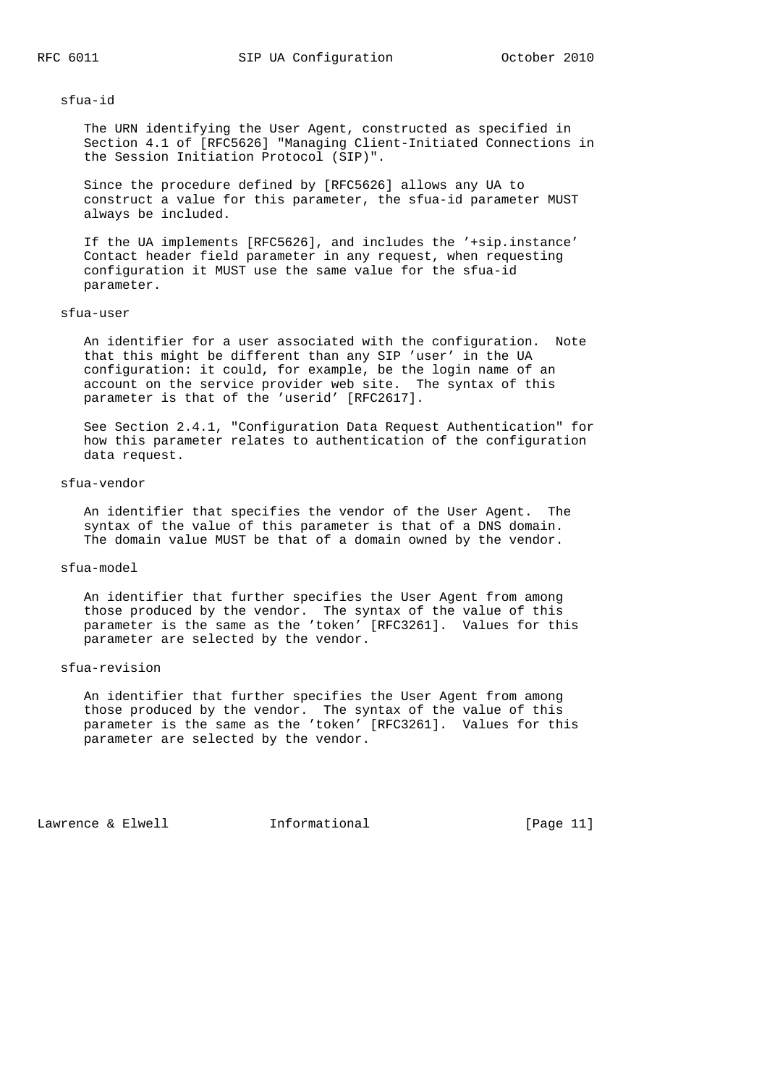#### sfua-id

 The URN identifying the User Agent, constructed as specified in Section 4.1 of [RFC5626] "Managing Client-Initiated Connections in the Session Initiation Protocol (SIP)".

 Since the procedure defined by [RFC5626] allows any UA to construct a value for this parameter, the sfua-id parameter MUST always be included.

 If the UA implements [RFC5626], and includes the '+sip.instance' Contact header field parameter in any request, when requesting configuration it MUST use the same value for the sfua-id parameter.

# sfua-user

 An identifier for a user associated with the configuration. Note that this might be different than any SIP 'user' in the UA configuration: it could, for example, be the login name of an account on the service provider web site. The syntax of this parameter is that of the 'userid' [RFC2617].

 See Section 2.4.1, "Configuration Data Request Authentication" for how this parameter relates to authentication of the configuration data request.

# sfua-vendor

 An identifier that specifies the vendor of the User Agent. The syntax of the value of this parameter is that of a DNS domain. The domain value MUST be that of a domain owned by the vendor.

### sfua-model

 An identifier that further specifies the User Agent from among those produced by the vendor. The syntax of the value of this parameter is the same as the 'token' [RFC3261]. Values for this parameter are selected by the vendor.

#### sfua-revision

 An identifier that further specifies the User Agent from among those produced by the vendor. The syntax of the value of this parameter is the same as the 'token' [RFC3261]. Values for this parameter are selected by the vendor.

Lawrence & Elwell **Informational** [Page 11]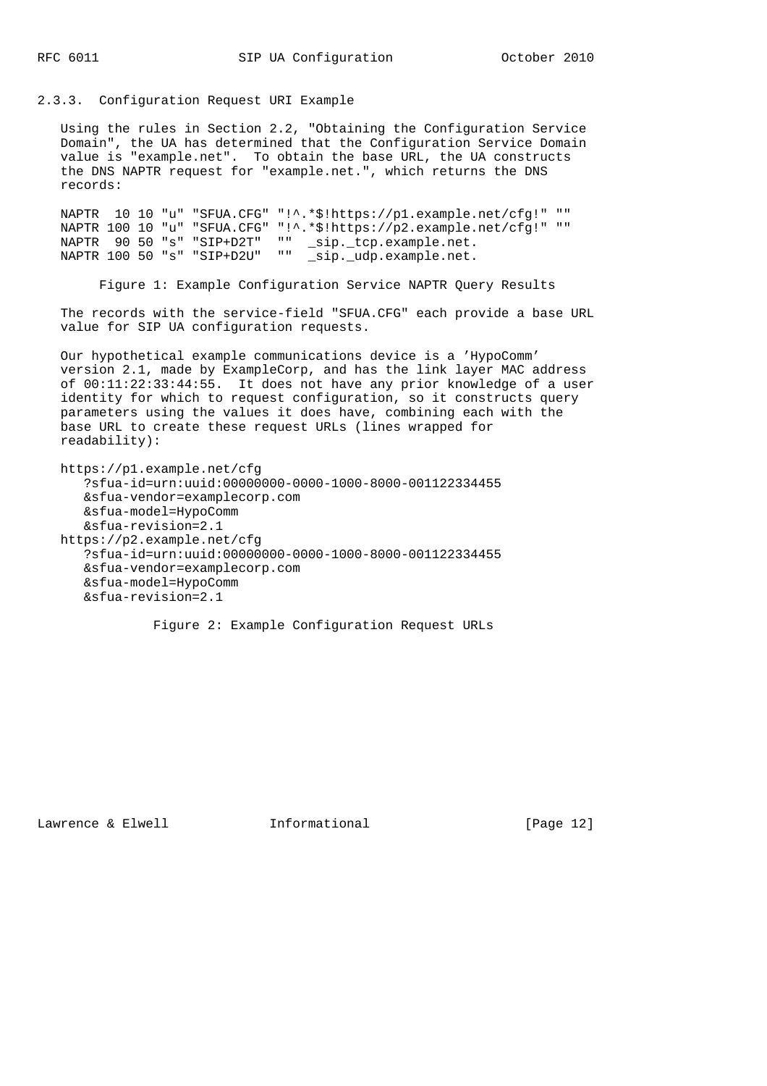#### 2.3.3. Configuration Request URI Example

 Using the rules in Section 2.2, "Obtaining the Configuration Service Domain", the UA has determined that the Configuration Service Domain value is "example.net". To obtain the base URL, the UA constructs the DNS NAPTR request for "example.net.", which returns the DNS records:

 NAPTR 10 10 "u" "SFUA.CFG" "!^.\*\$!https://p1.example.net/cfg!" "" NAPTR 100 10 "u" "SFUA.CFG" "!^.\*\$!https://p2.example.net/cfg!" "" NAPTR 90 50 "s" "SIP+D2T" "" \_sip.\_tcp.example.net. NAPTR 100 50 "s" "SIP+D2U" "" \_sip.\_udp.example.net.

Figure 1: Example Configuration Service NAPTR Query Results

 The records with the service-field "SFUA.CFG" each provide a base URL value for SIP UA configuration requests.

 Our hypothetical example communications device is a 'HypoComm' version 2.1, made by ExampleCorp, and has the link layer MAC address of 00:11:22:33:44:55. It does not have any prior knowledge of a user identity for which to request configuration, so it constructs query parameters using the values it does have, combining each with the base URL to create these request URLs (lines wrapped for readability):

 https://p1.example.net/cfg ?sfua-id=urn:uuid:00000000-0000-1000-8000-001122334455 &sfua-vendor=examplecorp.com &sfua-model=HypoComm &sfua-revision=2.1 https://p2.example.net/cfg ?sfua-id=urn:uuid:00000000-0000-1000-8000-001122334455 &sfua-vendor=examplecorp.com &sfua-model=HypoComm &sfua-revision=2.1

Figure 2: Example Configuration Request URLs

Lawrence & Elwell **Informational** [Page 12]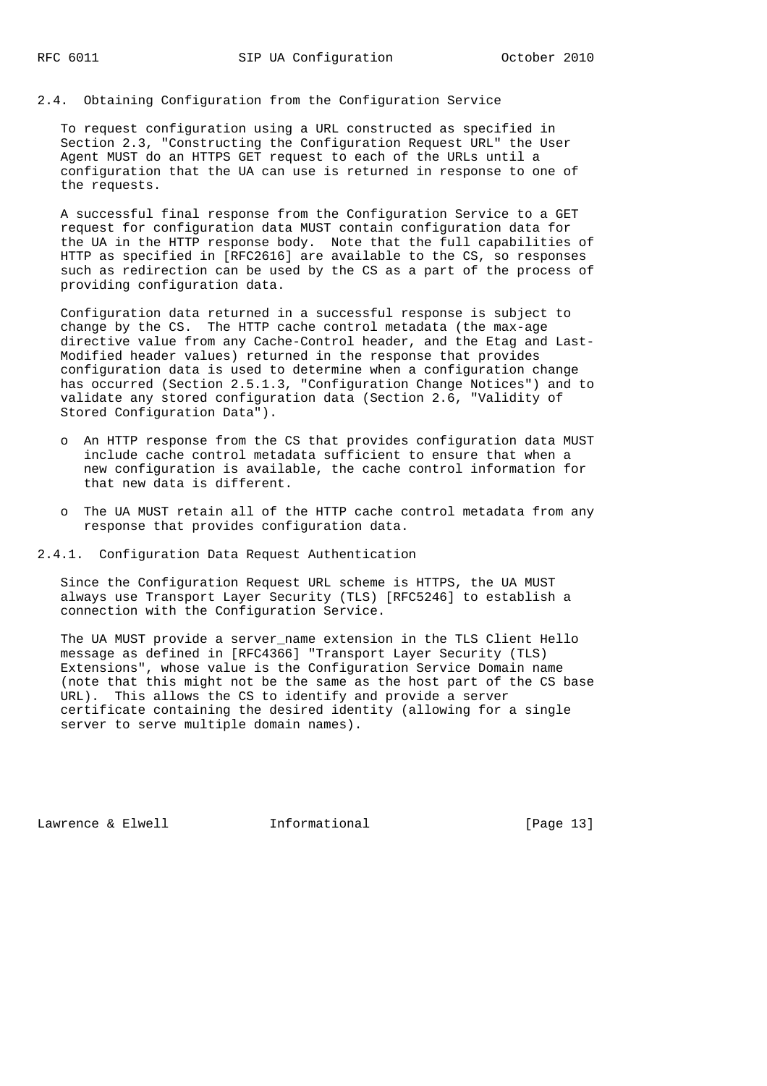To request configuration using a URL constructed as specified in Section 2.3, "Constructing the Configuration Request URL" the User Agent MUST do an HTTPS GET request to each of the URLs until a configuration that the UA can use is returned in response to one of the requests.

 A successful final response from the Configuration Service to a GET request for configuration data MUST contain configuration data for the UA in the HTTP response body. Note that the full capabilities of HTTP as specified in [RFC2616] are available to the CS, so responses such as redirection can be used by the CS as a part of the process of providing configuration data.

 Configuration data returned in a successful response is subject to change by the CS. The HTTP cache control metadata (the max-age directive value from any Cache-Control header, and the Etag and Last- Modified header values) returned in the response that provides configuration data is used to determine when a configuration change has occurred (Section 2.5.1.3, "Configuration Change Notices") and to validate any stored configuration data (Section 2.6, "Validity of Stored Configuration Data").

- o An HTTP response from the CS that provides configuration data MUST include cache control metadata sufficient to ensure that when a new configuration is available, the cache control information for that new data is different.
- o The UA MUST retain all of the HTTP cache control metadata from any response that provides configuration data.
- 2.4.1. Configuration Data Request Authentication

 Since the Configuration Request URL scheme is HTTPS, the UA MUST always use Transport Layer Security (TLS) [RFC5246] to establish a connection with the Configuration Service.

 The UA MUST provide a server\_name extension in the TLS Client Hello message as defined in [RFC4366] "Transport Layer Security (TLS) Extensions", whose value is the Configuration Service Domain name (note that this might not be the same as the host part of the CS base URL). This allows the CS to identify and provide a server certificate containing the desired identity (allowing for a single server to serve multiple domain names).

Lawrence & Elwell **Informational** [Page 13]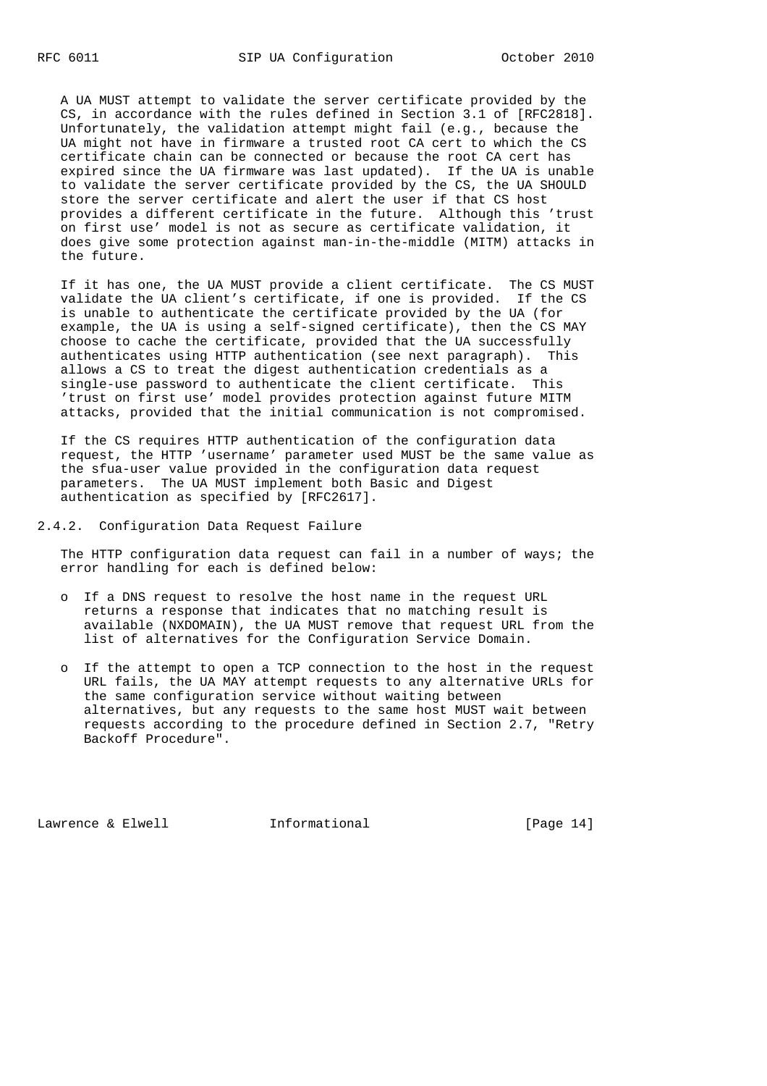A UA MUST attempt to validate the server certificate provided by the CS, in accordance with the rules defined in Section 3.1 of [RFC2818]. Unfortunately, the validation attempt might fail (e.g., because the UA might not have in firmware a trusted root CA cert to which the CS certificate chain can be connected or because the root CA cert has expired since the UA firmware was last updated). If the UA is unable to validate the server certificate provided by the CS, the UA SHOULD store the server certificate and alert the user if that CS host provides a different certificate in the future. Although this 'trust on first use' model is not as secure as certificate validation, it does give some protection against man-in-the-middle (MITM) attacks in the future.

 If it has one, the UA MUST provide a client certificate. The CS MUST validate the UA client's certificate, if one is provided. If the CS is unable to authenticate the certificate provided by the UA (for example, the UA is using a self-signed certificate), then the CS MAY choose to cache the certificate, provided that the UA successfully authenticates using HTTP authentication (see next paragraph). This allows a CS to treat the digest authentication credentials as a single-use password to authenticate the client certificate. This 'trust on first use' model provides protection against future MITM attacks, provided that the initial communication is not compromised.

 If the CS requires HTTP authentication of the configuration data request, the HTTP 'username' parameter used MUST be the same value as the sfua-user value provided in the configuration data request parameters. The UA MUST implement both Basic and Digest authentication as specified by [RFC2617].

2.4.2. Configuration Data Request Failure

 The HTTP configuration data request can fail in a number of ways; the error handling for each is defined below:

- o If a DNS request to resolve the host name in the request URL returns a response that indicates that no matching result is available (NXDOMAIN), the UA MUST remove that request URL from the list of alternatives for the Configuration Service Domain.
- o If the attempt to open a TCP connection to the host in the request URL fails, the UA MAY attempt requests to any alternative URLs for the same configuration service without waiting between alternatives, but any requests to the same host MUST wait between requests according to the procedure defined in Section 2.7, "Retry Backoff Procedure".

Lawrence & Elwell [Page 14]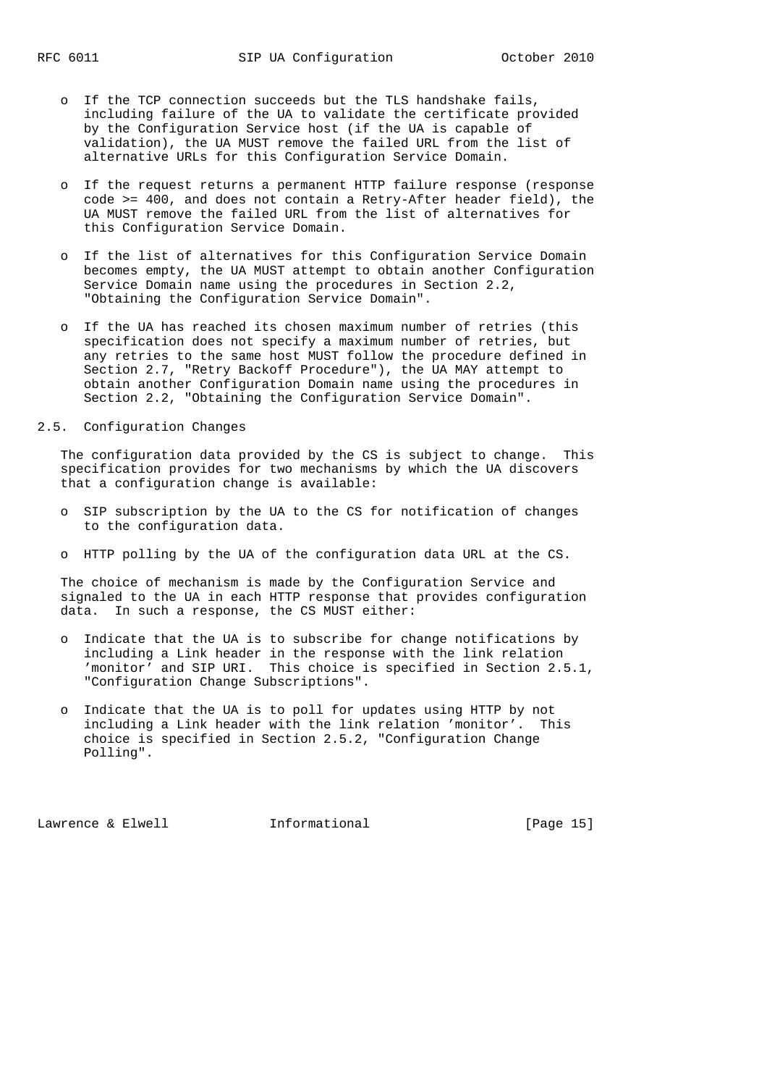- o If the TCP connection succeeds but the TLS handshake fails, including failure of the UA to validate the certificate provided by the Configuration Service host (if the UA is capable of validation), the UA MUST remove the failed URL from the list of alternative URLs for this Configuration Service Domain.
- o If the request returns a permanent HTTP failure response (response code >= 400, and does not contain a Retry-After header field), the UA MUST remove the failed URL from the list of alternatives for this Configuration Service Domain.
- o If the list of alternatives for this Configuration Service Domain becomes empty, the UA MUST attempt to obtain another Configuration Service Domain name using the procedures in Section 2.2, "Obtaining the Configuration Service Domain".
- o If the UA has reached its chosen maximum number of retries (this specification does not specify a maximum number of retries, but any retries to the same host MUST follow the procedure defined in Section 2.7, "Retry Backoff Procedure"), the UA MAY attempt to obtain another Configuration Domain name using the procedures in Section 2.2, "Obtaining the Configuration Service Domain".
- 2.5. Configuration Changes

 The configuration data provided by the CS is subject to change. This specification provides for two mechanisms by which the UA discovers that a configuration change is available:

- o SIP subscription by the UA to the CS for notification of changes to the configuration data.
- o HTTP polling by the UA of the configuration data URL at the CS.

 The choice of mechanism is made by the Configuration Service and signaled to the UA in each HTTP response that provides configuration data. In such a response, the CS MUST either:

- o Indicate that the UA is to subscribe for change notifications by including a Link header in the response with the link relation 'monitor' and SIP URI. This choice is specified in Section 2.5.1, "Configuration Change Subscriptions".
- o Indicate that the UA is to poll for updates using HTTP by not including a Link header with the link relation 'monitor'. This choice is specified in Section 2.5.2, "Configuration Change Polling".

Lawrence & Elwell [Page 15]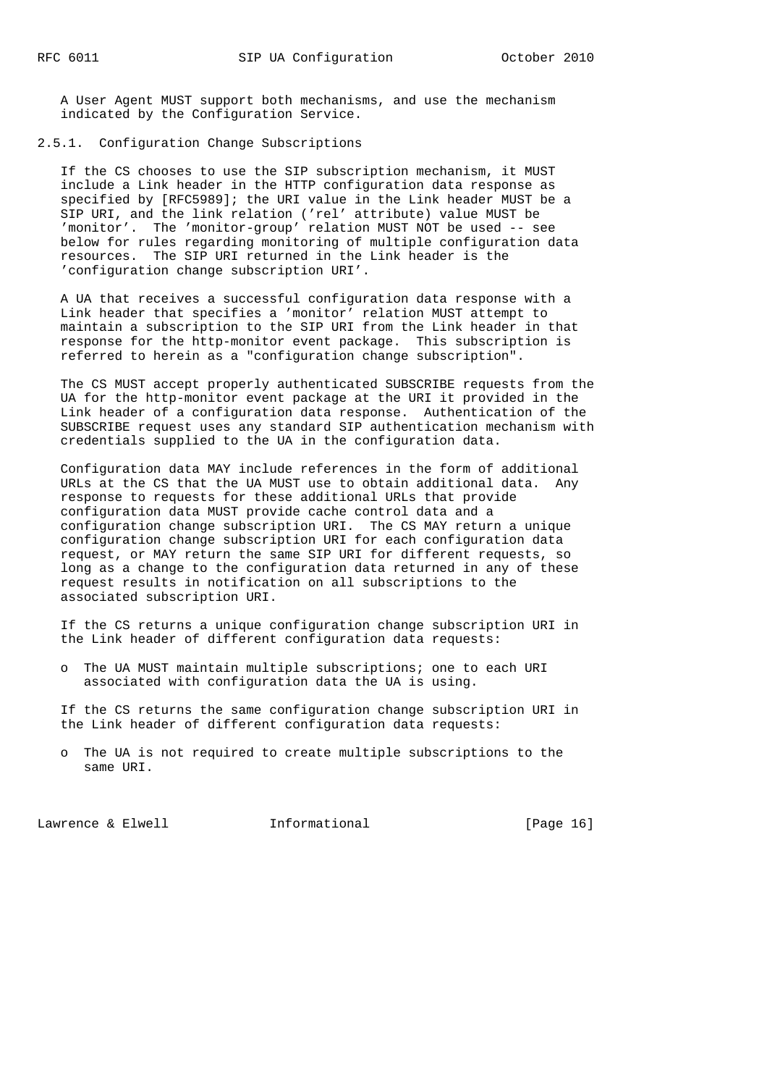A User Agent MUST support both mechanisms, and use the mechanism indicated by the Configuration Service.

2.5.1. Configuration Change Subscriptions

 If the CS chooses to use the SIP subscription mechanism, it MUST include a Link header in the HTTP configuration data response as specified by [RFC5989]; the URI value in the Link header MUST be a SIP URI, and the link relation ('rel' attribute) value MUST be 'monitor'. The 'monitor-group' relation MUST NOT be used -- see below for rules regarding monitoring of multiple configuration data resources. The SIP URI returned in the Link header is the 'configuration change subscription URI'.

 A UA that receives a successful configuration data response with a Link header that specifies a 'monitor' relation MUST attempt to maintain a subscription to the SIP URI from the Link header in that response for the http-monitor event package. This subscription is referred to herein as a "configuration change subscription".

 The CS MUST accept properly authenticated SUBSCRIBE requests from the UA for the http-monitor event package at the URI it provided in the Link header of a configuration data response. Authentication of the SUBSCRIBE request uses any standard SIP authentication mechanism with credentials supplied to the UA in the configuration data.

 Configuration data MAY include references in the form of additional URLs at the CS that the UA MUST use to obtain additional data. Any response to requests for these additional URLs that provide configuration data MUST provide cache control data and a configuration change subscription URI. The CS MAY return a unique configuration change subscription URI for each configuration data request, or MAY return the same SIP URI for different requests, so long as a change to the configuration data returned in any of these request results in notification on all subscriptions to the associated subscription URI.

 If the CS returns a unique configuration change subscription URI in the Link header of different configuration data requests:

 o The UA MUST maintain multiple subscriptions; one to each URI associated with configuration data the UA is using.

 If the CS returns the same configuration change subscription URI in the Link header of different configuration data requests:

 o The UA is not required to create multiple subscriptions to the same URI.

Lawrence & Elwell **Informational** [Page 16]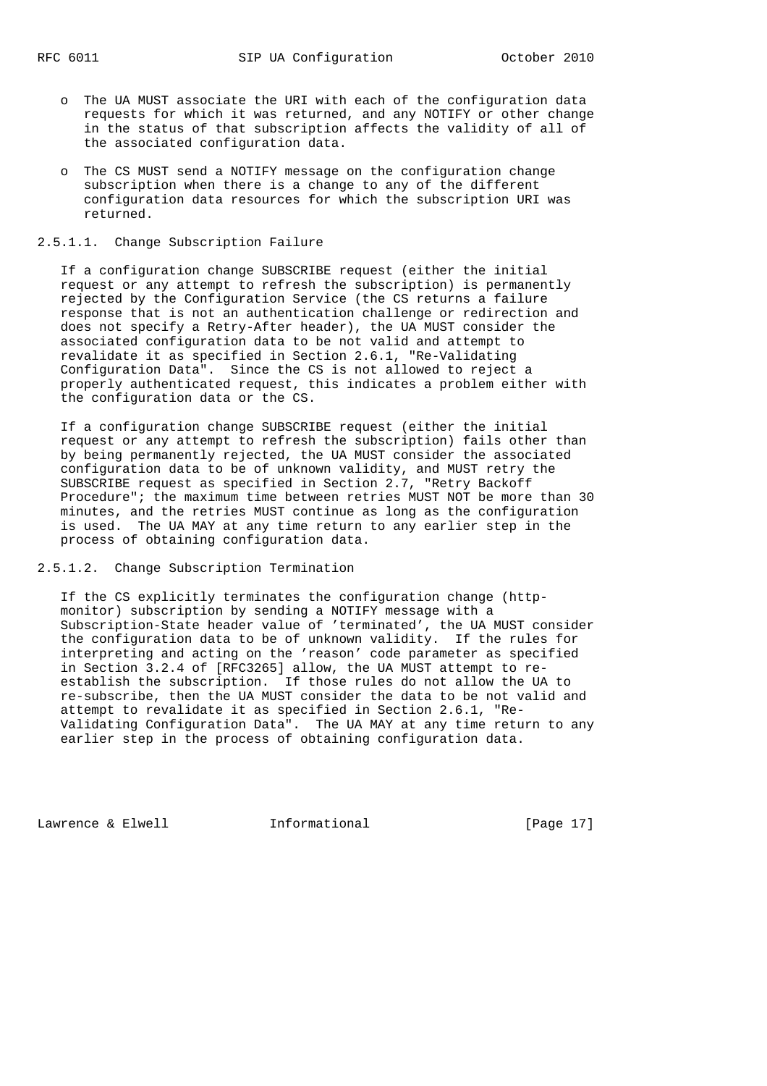- o The UA MUST associate the URI with each of the configuration data requests for which it was returned, and any NOTIFY or other change in the status of that subscription affects the validity of all of the associated configuration data.
- o The CS MUST send a NOTIFY message on the configuration change subscription when there is a change to any of the different configuration data resources for which the subscription URI was returned.

## 2.5.1.1. Change Subscription Failure

 If a configuration change SUBSCRIBE request (either the initial request or any attempt to refresh the subscription) is permanently rejected by the Configuration Service (the CS returns a failure response that is not an authentication challenge or redirection and does not specify a Retry-After header), the UA MUST consider the associated configuration data to be not valid and attempt to revalidate it as specified in Section 2.6.1, "Re-Validating Configuration Data". Since the CS is not allowed to reject a properly authenticated request, this indicates a problem either with the configuration data or the CS.

 If a configuration change SUBSCRIBE request (either the initial request or any attempt to refresh the subscription) fails other than by being permanently rejected, the UA MUST consider the associated configuration data to be of unknown validity, and MUST retry the SUBSCRIBE request as specified in Section 2.7, "Retry Backoff Procedure"; the maximum time between retries MUST NOT be more than 30 minutes, and the retries MUST continue as long as the configuration is used. The UA MAY at any time return to any earlier step in the process of obtaining configuration data.

2.5.1.2. Change Subscription Termination

 If the CS explicitly terminates the configuration change (http monitor) subscription by sending a NOTIFY message with a Subscription-State header value of 'terminated', the UA MUST consider the configuration data to be of unknown validity. If the rules for interpreting and acting on the 'reason' code parameter as specified in Section 3.2.4 of [RFC3265] allow, the UA MUST attempt to re establish the subscription. If those rules do not allow the UA to re-subscribe, then the UA MUST consider the data to be not valid and attempt to revalidate it as specified in Section 2.6.1, "Re- Validating Configuration Data". The UA MAY at any time return to any earlier step in the process of obtaining configuration data.

Lawrence & Elwell **Informational** [Page 17]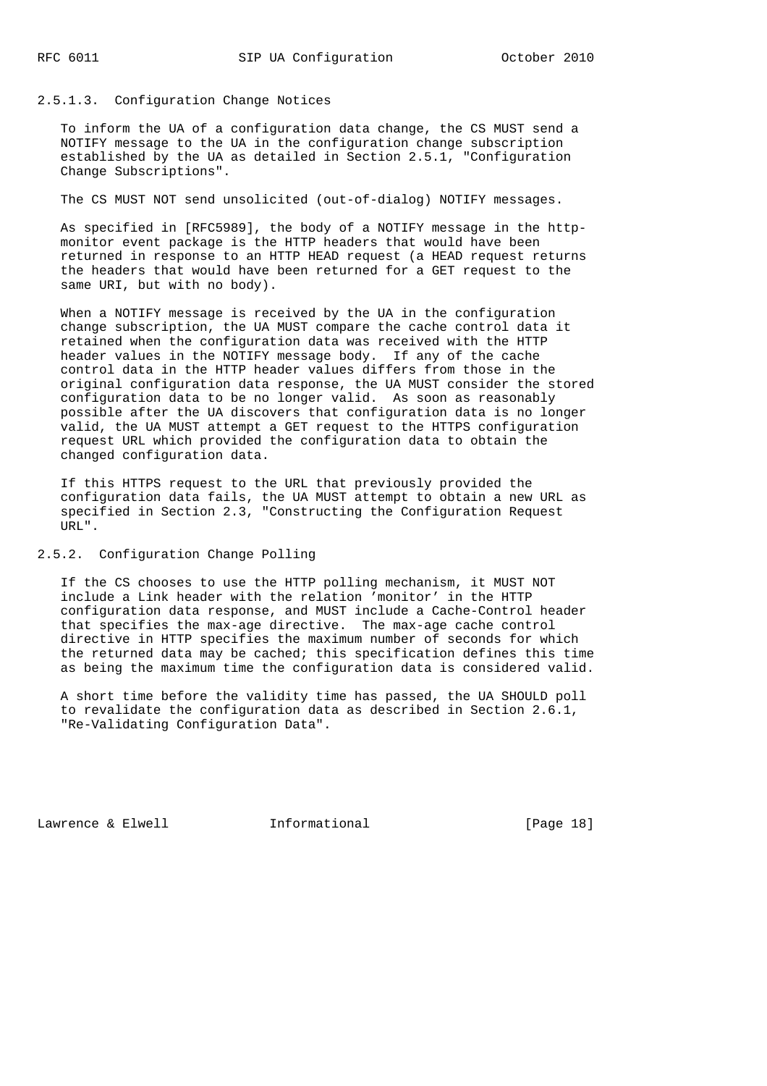# 2.5.1.3. Configuration Change Notices

 To inform the UA of a configuration data change, the CS MUST send a NOTIFY message to the UA in the configuration change subscription established by the UA as detailed in Section 2.5.1, "Configuration Change Subscriptions".

The CS MUST NOT send unsolicited (out-of-dialog) NOTIFY messages.

 As specified in [RFC5989], the body of a NOTIFY message in the http monitor event package is the HTTP headers that would have been returned in response to an HTTP HEAD request (a HEAD request returns the headers that would have been returned for a GET request to the same URI, but with no body).

 When a NOTIFY message is received by the UA in the configuration change subscription, the UA MUST compare the cache control data it retained when the configuration data was received with the HTTP header values in the NOTIFY message body. If any of the cache control data in the HTTP header values differs from those in the original configuration data response, the UA MUST consider the stored configuration data to be no longer valid. As soon as reasonably possible after the UA discovers that configuration data is no longer valid, the UA MUST attempt a GET request to the HTTPS configuration request URL which provided the configuration data to obtain the changed configuration data.

 If this HTTPS request to the URL that previously provided the configuration data fails, the UA MUST attempt to obtain a new URL as specified in Section 2.3, "Constructing the Configuration Request URL".

2.5.2. Configuration Change Polling

 If the CS chooses to use the HTTP polling mechanism, it MUST NOT include a Link header with the relation 'monitor' in the HTTP configuration data response, and MUST include a Cache-Control header that specifies the max-age directive. The max-age cache control directive in HTTP specifies the maximum number of seconds for which the returned data may be cached; this specification defines this time as being the maximum time the configuration data is considered valid.

 A short time before the validity time has passed, the UA SHOULD poll to revalidate the configuration data as described in Section 2.6.1, "Re-Validating Configuration Data".

Lawrence & Elwell **Informational** [Page 18]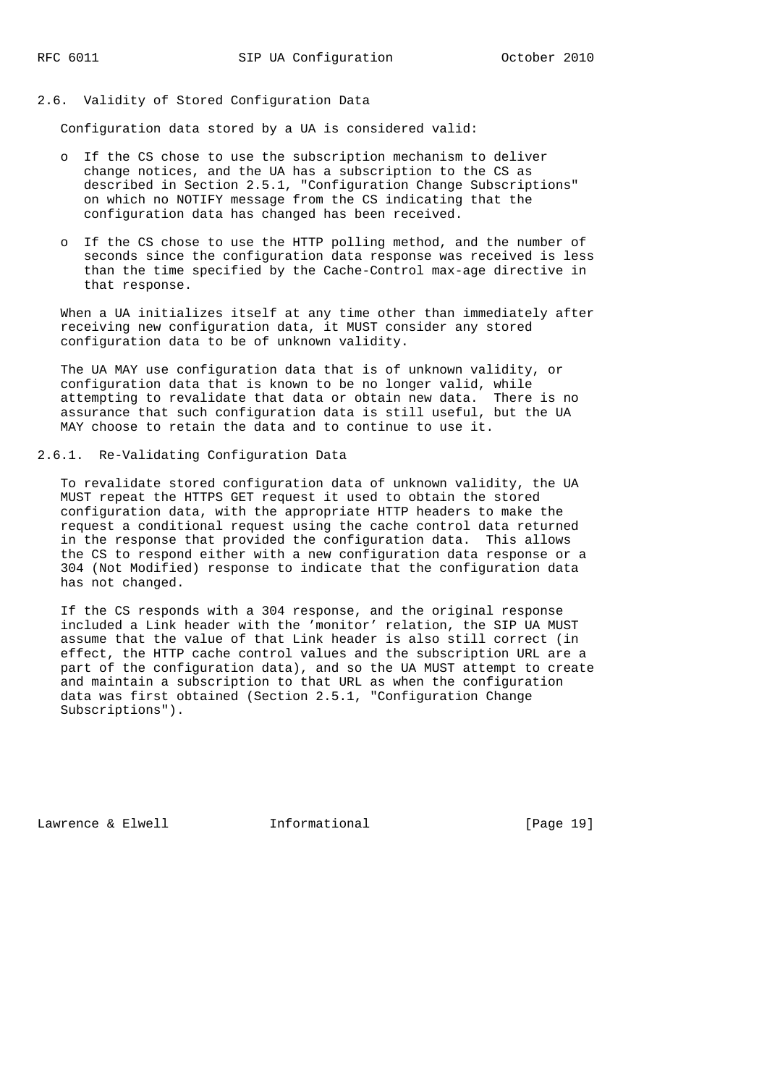# 2.6. Validity of Stored Configuration Data

Configuration data stored by a UA is considered valid:

- o If the CS chose to use the subscription mechanism to deliver change notices, and the UA has a subscription to the CS as described in Section 2.5.1, "Configuration Change Subscriptions" on which no NOTIFY message from the CS indicating that the configuration data has changed has been received.
- o If the CS chose to use the HTTP polling method, and the number of seconds since the configuration data response was received is less than the time specified by the Cache-Control max-age directive in that response.

 When a UA initializes itself at any time other than immediately after receiving new configuration data, it MUST consider any stored configuration data to be of unknown validity.

 The UA MAY use configuration data that is of unknown validity, or configuration data that is known to be no longer valid, while attempting to revalidate that data or obtain new data. There is no assurance that such configuration data is still useful, but the UA MAY choose to retain the data and to continue to use it.

# 2.6.1. Re-Validating Configuration Data

 To revalidate stored configuration data of unknown validity, the UA MUST repeat the HTTPS GET request it used to obtain the stored configuration data, with the appropriate HTTP headers to make the request a conditional request using the cache control data returned in the response that provided the configuration data. This allows the CS to respond either with a new configuration data response or a 304 (Not Modified) response to indicate that the configuration data has not changed.

 If the CS responds with a 304 response, and the original response included a Link header with the 'monitor' relation, the SIP UA MUST assume that the value of that Link header is also still correct (in effect, the HTTP cache control values and the subscription URL are a part of the configuration data), and so the UA MUST attempt to create and maintain a subscription to that URL as when the configuration data was first obtained (Section 2.5.1, "Configuration Change Subscriptions").

Lawrence & Elwell [Page 19]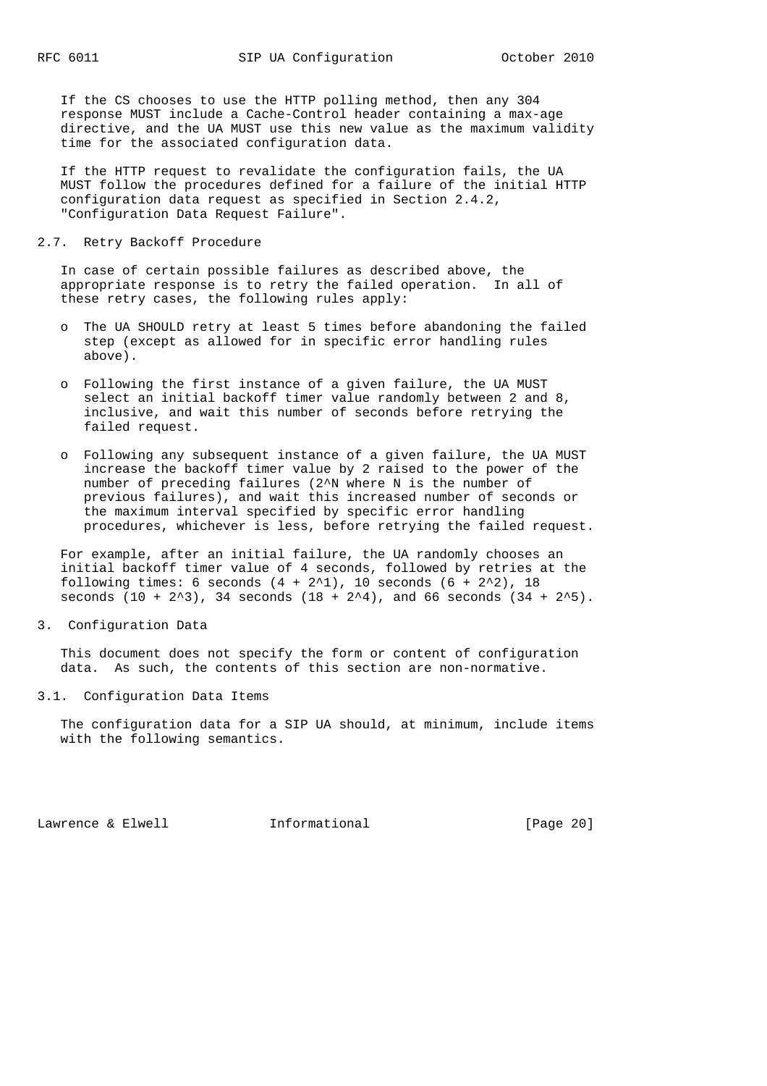If the CS chooses to use the HTTP polling method, then any 304 response MUST include a Cache-Control header containing a max-age directive, and the UA MUST use this new value as the maximum validity time for the associated configuration data.

 If the HTTP request to revalidate the configuration fails, the UA MUST follow the procedures defined for a failure of the initial HTTP configuration data request as specified in Section 2.4.2, "Configuration Data Request Failure".

#### 2.7. Retry Backoff Procedure

 In case of certain possible failures as described above, the appropriate response is to retry the failed operation. In all of these retry cases, the following rules apply:

- o The UA SHOULD retry at least 5 times before abandoning the failed step (except as allowed for in specific error handling rules above).
- o Following the first instance of a given failure, the UA MUST select an initial backoff timer value randomly between 2 and 8, inclusive, and wait this number of seconds before retrying the failed request.
- o Following any subsequent instance of a given failure, the UA MUST increase the backoff timer value by 2 raised to the power of the number of preceding failures (2^N where N is the number of previous failures), and wait this increased number of seconds or the maximum interval specified by specific error handling procedures, whichever is less, before retrying the failed request.

 For example, after an initial failure, the UA randomly chooses an initial backoff timer value of 4 seconds, followed by retries at the following times: 6 seconds  $(4 + 2^2)$ , 10 seconds  $(6 + 2^2)$ , 18 seconds  $(10 + 2^3)$ , 34 seconds  $(18 + 2^4)$ , and 66 seconds  $(34 + 2^5)$ .

3. Configuration Data

 This document does not specify the form or content of configuration data. As such, the contents of this section are non-normative.

3.1. Configuration Data Items

 The configuration data for a SIP UA should, at minimum, include items with the following semantics.

Lawrence & Elwell **Informational** [Page 20]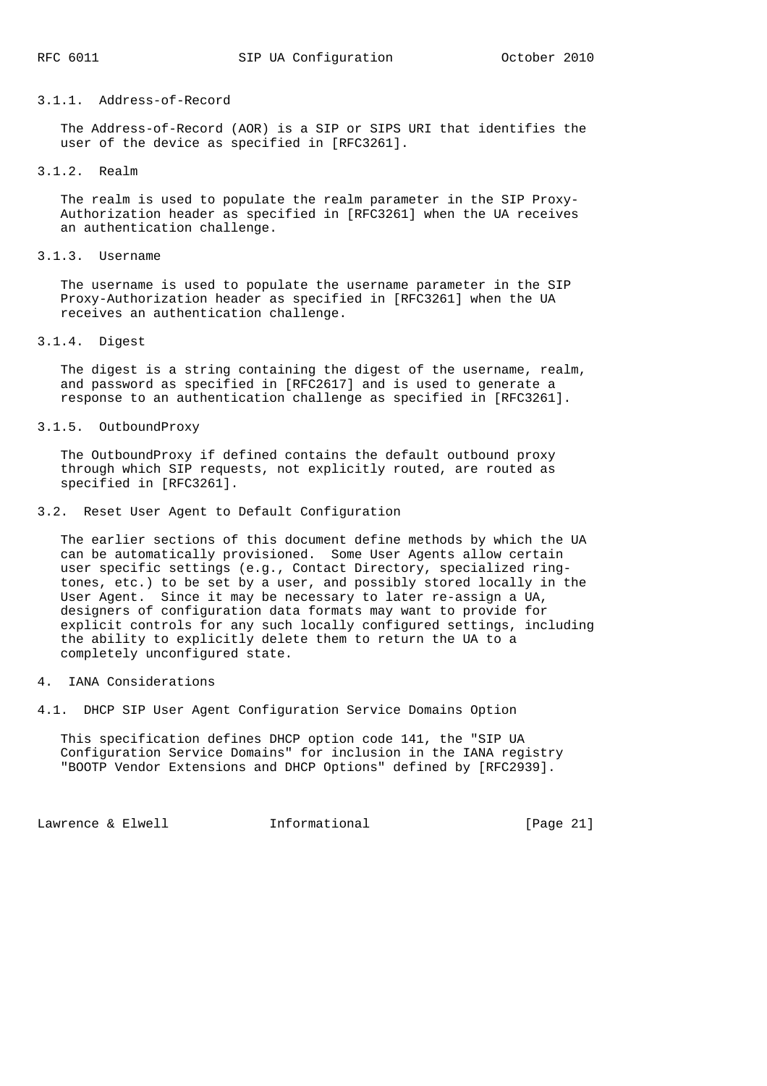### 3.1.1. Address-of-Record

 The Address-of-Record (AOR) is a SIP or SIPS URI that identifies the user of the device as specified in [RFC3261].

#### 3.1.2. Realm

 The realm is used to populate the realm parameter in the SIP Proxy- Authorization header as specified in [RFC3261] when the UA receives an authentication challenge.

## 3.1.3. Username

 The username is used to populate the username parameter in the SIP Proxy-Authorization header as specified in [RFC3261] when the UA receives an authentication challenge.

#### 3.1.4. Digest

 The digest is a string containing the digest of the username, realm, and password as specified in [RFC2617] and is used to generate a response to an authentication challenge as specified in [RFC3261].

# 3.1.5. OutboundProxy

 The OutboundProxy if defined contains the default outbound proxy through which SIP requests, not explicitly routed, are routed as specified in [RFC3261].

### 3.2. Reset User Agent to Default Configuration

 The earlier sections of this document define methods by which the UA can be automatically provisioned. Some User Agents allow certain user specific settings (e.g., Contact Directory, specialized ring tones, etc.) to be set by a user, and possibly stored locally in the User Agent. Since it may be necessary to later re-assign a UA, designers of configuration data formats may want to provide for explicit controls for any such locally configured settings, including the ability to explicitly delete them to return the UA to a completely unconfigured state.

# 4. IANA Considerations

4.1. DHCP SIP User Agent Configuration Service Domains Option

 This specification defines DHCP option code 141, the "SIP UA Configuration Service Domains" for inclusion in the IANA registry "BOOTP Vendor Extensions and DHCP Options" defined by [RFC2939].

Lawrence & Elwell [Page 21]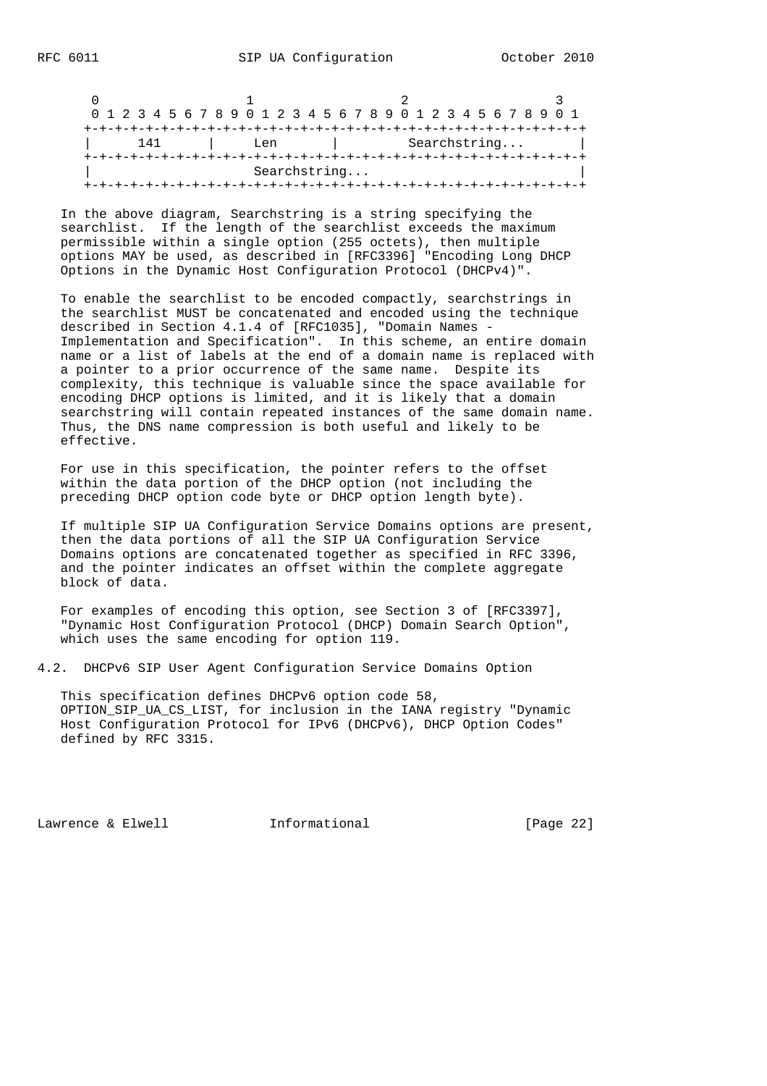|              | 0 1 2 3 4 5 6 7 8 9 0 1 2 3 4 5 6 7 8 9 0 1 2 3 4 5 6 7 8 9 0 1 |  |  |  |  |  |  |  |  |  |  |  |  |  |              |  |  |  |  |  |  |  |  |  |  |  |  |  |  |  |
|--------------|-----------------------------------------------------------------|--|--|--|--|--|--|--|--|--|--|--|--|--|--------------|--|--|--|--|--|--|--|--|--|--|--|--|--|--|--|
|              |                                                                 |  |  |  |  |  |  |  |  |  |  |  |  |  |              |  |  |  |  |  |  |  |  |  |  |  |  |  |  |  |
|              | 141<br>Len                                                      |  |  |  |  |  |  |  |  |  |  |  |  |  | Searchstring |  |  |  |  |  |  |  |  |  |  |  |  |  |  |  |
|              |                                                                 |  |  |  |  |  |  |  |  |  |  |  |  |  |              |  |  |  |  |  |  |  |  |  |  |  |  |  |  |  |
| Searchstring |                                                                 |  |  |  |  |  |  |  |  |  |  |  |  |  |              |  |  |  |  |  |  |  |  |  |  |  |  |  |  |  |
|              |                                                                 |  |  |  |  |  |  |  |  |  |  |  |  |  |              |  |  |  |  |  |  |  |  |  |  |  |  |  |  |  |

 In the above diagram, Searchstring is a string specifying the searchlist. If the length of the searchlist exceeds the maximum permissible within a single option (255 octets), then multiple options MAY be used, as described in [RFC3396] "Encoding Long DHCP Options in the Dynamic Host Configuration Protocol (DHCPv4)".

 To enable the searchlist to be encoded compactly, searchstrings in the searchlist MUST be concatenated and encoded using the technique described in Section 4.1.4 of [RFC1035], "Domain Names - Implementation and Specification". In this scheme, an entire domain name or a list of labels at the end of a domain name is replaced with a pointer to a prior occurrence of the same name. Despite its complexity, this technique is valuable since the space available for encoding DHCP options is limited, and it is likely that a domain searchstring will contain repeated instances of the same domain name. Thus, the DNS name compression is both useful and likely to be effective.

 For use in this specification, the pointer refers to the offset within the data portion of the DHCP option (not including the preceding DHCP option code byte or DHCP option length byte).

 If multiple SIP UA Configuration Service Domains options are present, then the data portions of all the SIP UA Configuration Service Domains options are concatenated together as specified in RFC 3396, and the pointer indicates an offset within the complete aggregate block of data.

 For examples of encoding this option, see Section 3 of [RFC3397], "Dynamic Host Configuration Protocol (DHCP) Domain Search Option", which uses the same encoding for option 119.

4.2. DHCPv6 SIP User Agent Configuration Service Domains Option

 This specification defines DHCPv6 option code 58, OPTION\_SIP\_UA\_CS\_LIST, for inclusion in the IANA registry "Dynamic Host Configuration Protocol for IPv6 (DHCPv6), DHCP Option Codes" defined by RFC 3315.

Lawrence & Elwell **Informational** [Page 22]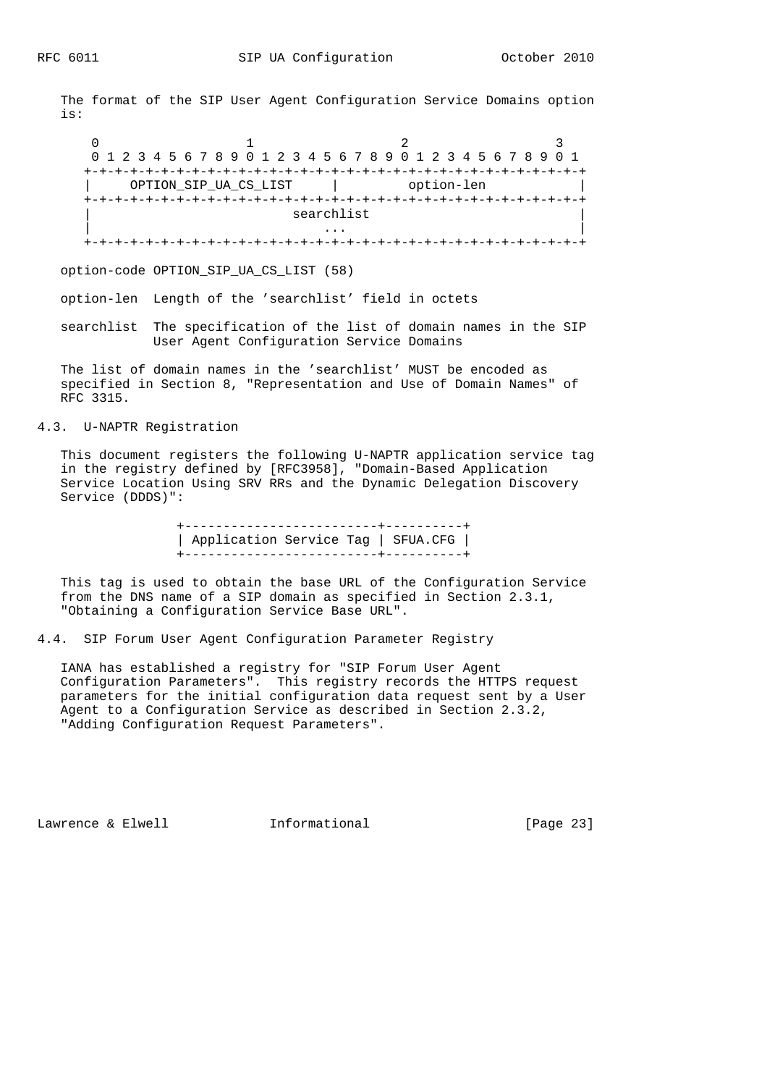The format of the SIP User Agent Configuration Service Domains option is:

 $0$  1 2 3 0 1 2 3 4 5 6 7 8 9 0 1 2 3 4 5 6 7 8 9 0 1 2 3 4 5 6 7 8 9 0 1 +-+-+-+-+-+-+-+-+-+-+-+-+-+-+-+-+-+-+-+-+-+-+-+-+-+-+-+-+-+-+-+-+ | OPTION\_SIP\_UA\_CS\_LIST | option-len | +-+-+-+-+-+-+-+-+-+-+-+-+-+-+-+-+-+-+-+-+-+-+-+-+-+-+-+-+-+-+-+-+ searchlist | ... | ... | ... | ... | ... | ... | ... | ... | ... | ... | ... | ... | ... | ... | ... | ... | ... | ... | 1 +-+-+-+-+-+-+-+-+-+-+-+-+-+-+-+-+-+-+-+-+-+-+-+-+-+-+-+-+-+-+-+-+

option-code OPTION\_SIP\_UA\_CS\_LIST (58)

option-len Length of the 'searchlist' field in octets

 searchlist The specification of the list of domain names in the SIP User Agent Configuration Service Domains

 The list of domain names in the 'searchlist' MUST be encoded as specified in Section 8, "Representation and Use of Domain Names" of RFC 3315.

4.3. U-NAPTR Registration

 This document registers the following U-NAPTR application service tag in the registry defined by [RFC3958], "Domain-Based Application Service Location Using SRV RRs and the Dynamic Delegation Discovery Service (DDDS)":

> +-------------------------+----------+ | Application Service Tag | SFUA.CFG | +-------------------------+----------+

 This tag is used to obtain the base URL of the Configuration Service from the DNS name of a SIP domain as specified in Section 2.3.1, "Obtaining a Configuration Service Base URL".

4.4. SIP Forum User Agent Configuration Parameter Registry

 IANA has established a registry for "SIP Forum User Agent Configuration Parameters". This registry records the HTTPS request parameters for the initial configuration data request sent by a User Agent to a Configuration Service as described in Section 2.3.2, "Adding Configuration Request Parameters".

Lawrence & Elwell **Informational** [Page 23]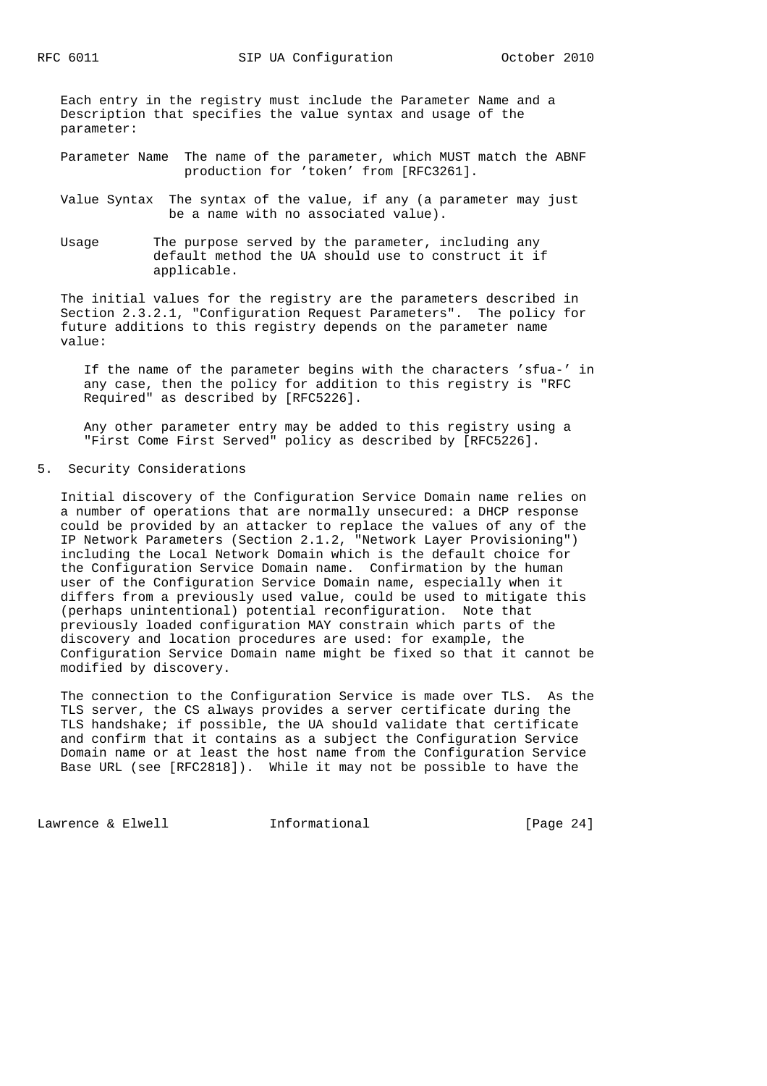Each entry in the registry must include the Parameter Name and a Description that specifies the value syntax and usage of the parameter:

 Parameter Name The name of the parameter, which MUST match the ABNF production for 'token' from [RFC3261].

- Value Syntax The syntax of the value, if any (a parameter may just be a name with no associated value).
- Usage The purpose served by the parameter, including any default method the UA should use to construct it if applicable.

 The initial values for the registry are the parameters described in Section 2.3.2.1, "Configuration Request Parameters". The policy for future additions to this registry depends on the parameter name value:

 If the name of the parameter begins with the characters 'sfua-' in any case, then the policy for addition to this registry is "RFC Required" as described by [RFC5226].

 Any other parameter entry may be added to this registry using a "First Come First Served" policy as described by [RFC5226].

5. Security Considerations

 Initial discovery of the Configuration Service Domain name relies on a number of operations that are normally unsecured: a DHCP response could be provided by an attacker to replace the values of any of the IP Network Parameters (Section 2.1.2, "Network Layer Provisioning") including the Local Network Domain which is the default choice for the Configuration Service Domain name. Confirmation by the human user of the Configuration Service Domain name, especially when it differs from a previously used value, could be used to mitigate this (perhaps unintentional) potential reconfiguration. Note that previously loaded configuration MAY constrain which parts of the discovery and location procedures are used: for example, the Configuration Service Domain name might be fixed so that it cannot be modified by discovery.

 The connection to the Configuration Service is made over TLS. As the TLS server, the CS always provides a server certificate during the TLS handshake; if possible, the UA should validate that certificate and confirm that it contains as a subject the Configuration Service Domain name or at least the host name from the Configuration Service Base URL (see [RFC2818]). While it may not be possible to have the

Lawrence & Elwell **Informational** [Page 24]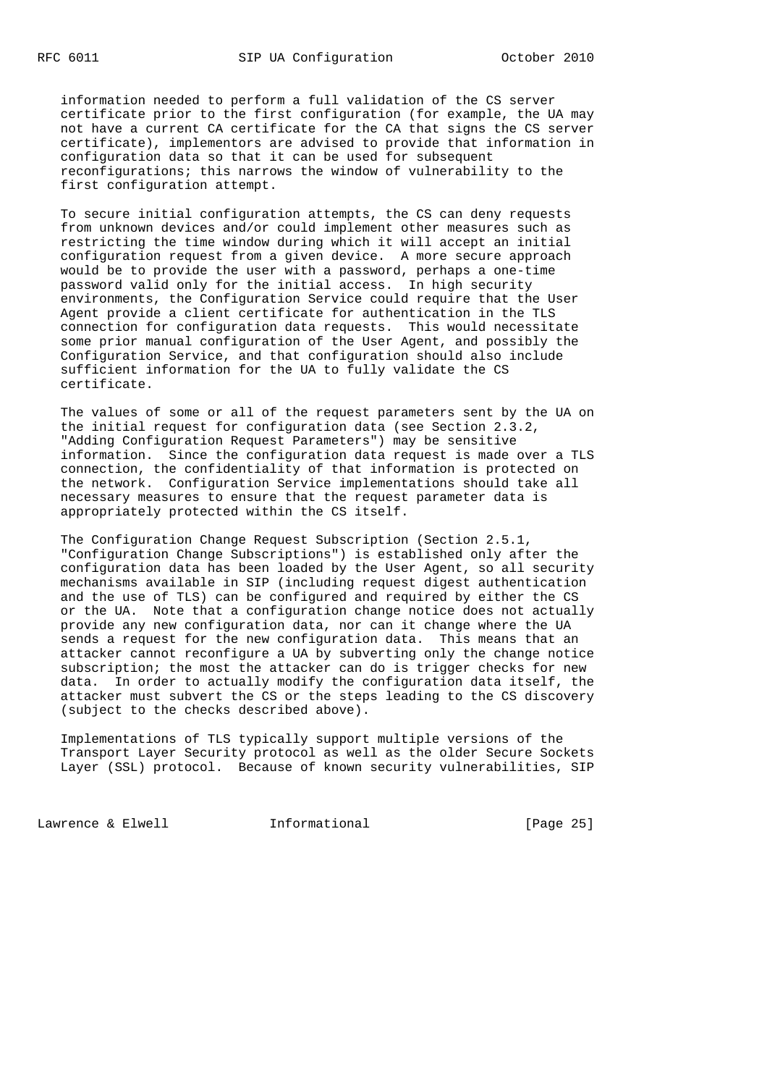information needed to perform a full validation of the CS server certificate prior to the first configuration (for example, the UA may not have a current CA certificate for the CA that signs the CS server certificate), implementors are advised to provide that information in configuration data so that it can be used for subsequent reconfigurations; this narrows the window of vulnerability to the first configuration attempt.

 To secure initial configuration attempts, the CS can deny requests from unknown devices and/or could implement other measures such as restricting the time window during which it will accept an initial configuration request from a given device. A more secure approach would be to provide the user with a password, perhaps a one-time password valid only for the initial access. In high security environments, the Configuration Service could require that the User Agent provide a client certificate for authentication in the TLS connection for configuration data requests. This would necessitate some prior manual configuration of the User Agent, and possibly the Configuration Service, and that configuration should also include sufficient information for the UA to fully validate the CS certificate.

 The values of some or all of the request parameters sent by the UA on the initial request for configuration data (see Section 2.3.2, "Adding Configuration Request Parameters") may be sensitive information. Since the configuration data request is made over a TLS connection, the confidentiality of that information is protected on the network. Configuration Service implementations should take all necessary measures to ensure that the request parameter data is appropriately protected within the CS itself.

 The Configuration Change Request Subscription (Section 2.5.1, "Configuration Change Subscriptions") is established only after the configuration data has been loaded by the User Agent, so all security mechanisms available in SIP (including request digest authentication and the use of TLS) can be configured and required by either the CS or the UA. Note that a configuration change notice does not actually provide any new configuration data, nor can it change where the UA sends a request for the new configuration data. This means that an attacker cannot reconfigure a UA by subverting only the change notice subscription; the most the attacker can do is trigger checks for new data. In order to actually modify the configuration data itself, the attacker must subvert the CS or the steps leading to the CS discovery (subject to the checks described above).

 Implementations of TLS typically support multiple versions of the Transport Layer Security protocol as well as the older Secure Sockets Layer (SSL) protocol. Because of known security vulnerabilities, SIP

Lawrence & Elwell **Informational** [Page 25]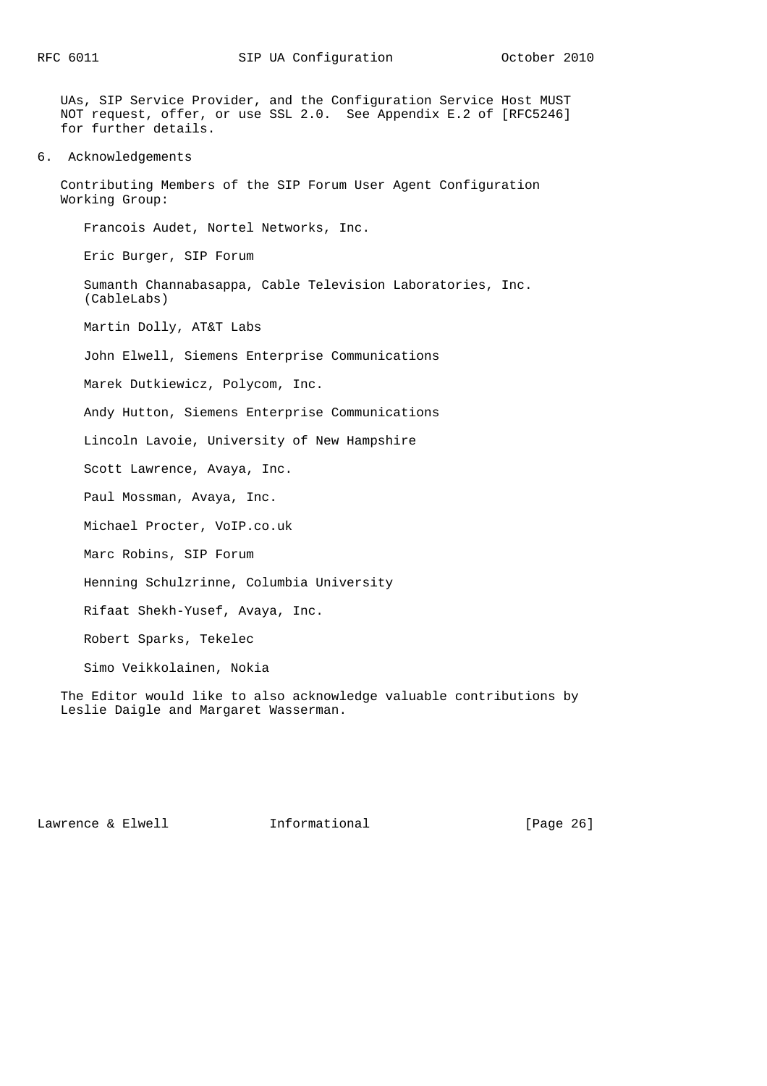UAs, SIP Service Provider, and the Configuration Service Host MUST NOT request, offer, or use SSL 2.0. See Appendix E.2 of [RFC5246] for further details.

6. Acknowledgements

 Contributing Members of the SIP Forum User Agent Configuration Working Group:

Francois Audet, Nortel Networks, Inc.

Eric Burger, SIP Forum

 Sumanth Channabasappa, Cable Television Laboratories, Inc. (CableLabs)

Martin Dolly, AT&T Labs

John Elwell, Siemens Enterprise Communications

Marek Dutkiewicz, Polycom, Inc.

Andy Hutton, Siemens Enterprise Communications

Lincoln Lavoie, University of New Hampshire

Scott Lawrence, Avaya, Inc.

Paul Mossman, Avaya, Inc.

Michael Procter, VoIP.co.uk

Marc Robins, SIP Forum

Henning Schulzrinne, Columbia University

Rifaat Shekh-Yusef, Avaya, Inc.

Robert Sparks, Tekelec

Simo Veikkolainen, Nokia

 The Editor would like to also acknowledge valuable contributions by Leslie Daigle and Margaret Wasserman.

Lawrence & Elwell [Page 26]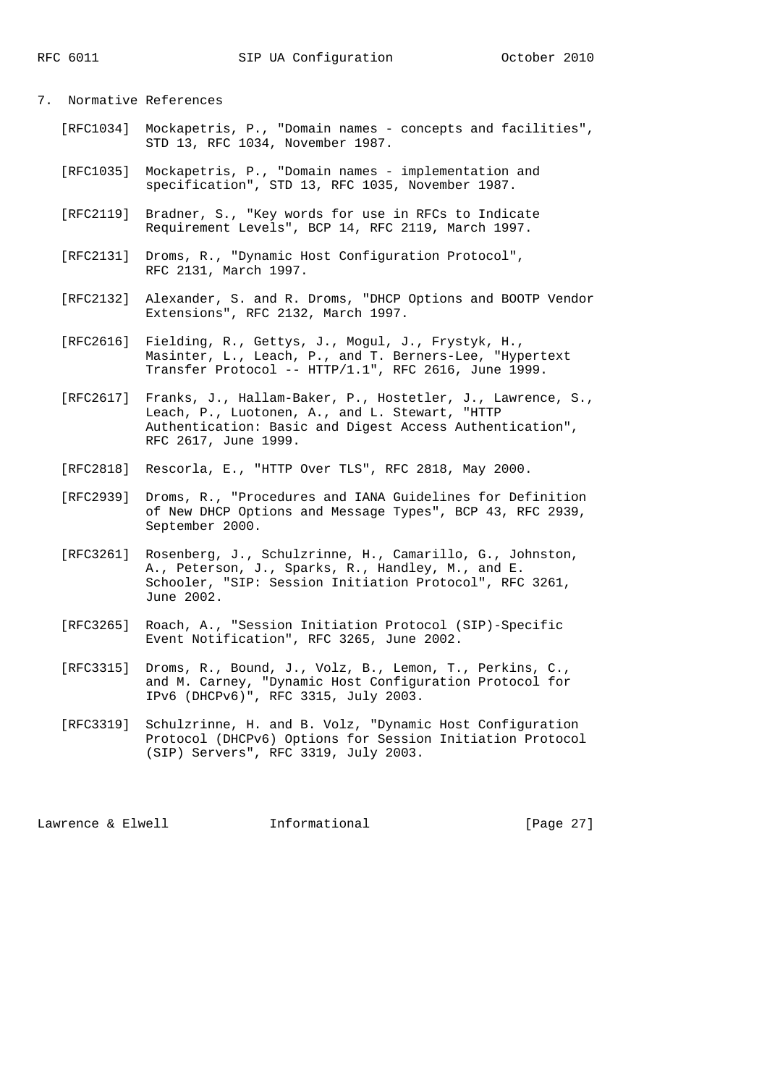7. Normative References

- [RFC1034] Mockapetris, P., "Domain names concepts and facilities", STD 13, RFC 1034, November 1987.
	- [RFC1035] Mockapetris, P., "Domain names implementation and specification", STD 13, RFC 1035, November 1987.
	- [RFC2119] Bradner, S., "Key words for use in RFCs to Indicate Requirement Levels", BCP 14, RFC 2119, March 1997.
	- [RFC2131] Droms, R., "Dynamic Host Configuration Protocol", RFC 2131, March 1997.
	- [RFC2132] Alexander, S. and R. Droms, "DHCP Options and BOOTP Vendor Extensions", RFC 2132, March 1997.
	- [RFC2616] Fielding, R., Gettys, J., Mogul, J., Frystyk, H., Masinter, L., Leach, P., and T. Berners-Lee, "Hypertext Transfer Protocol -- HTTP/1.1", RFC 2616, June 1999.
	- [RFC2617] Franks, J., Hallam-Baker, P., Hostetler, J., Lawrence, S., Leach, P., Luotonen, A., and L. Stewart, "HTTP Authentication: Basic and Digest Access Authentication", RFC 2617, June 1999.
	- [RFC2818] Rescorla, E., "HTTP Over TLS", RFC 2818, May 2000.
	- [RFC2939] Droms, R., "Procedures and IANA Guidelines for Definition of New DHCP Options and Message Types", BCP 43, RFC 2939, September 2000.
	- [RFC3261] Rosenberg, J., Schulzrinne, H., Camarillo, G., Johnston, A., Peterson, J., Sparks, R., Handley, M., and E. Schooler, "SIP: Session Initiation Protocol", RFC 3261, June 2002.
	- [RFC3265] Roach, A., "Session Initiation Protocol (SIP)-Specific Event Notification", RFC 3265, June 2002.
	- [RFC3315] Droms, R., Bound, J., Volz, B., Lemon, T., Perkins, C., and M. Carney, "Dynamic Host Configuration Protocol for IPv6 (DHCPv6)", RFC 3315, July 2003.
	- [RFC3319] Schulzrinne, H. and B. Volz, "Dynamic Host Configuration Protocol (DHCPv6) Options for Session Initiation Protocol (SIP) Servers", RFC 3319, July 2003.

Lawrence & Elwell **Informational** [Page 27]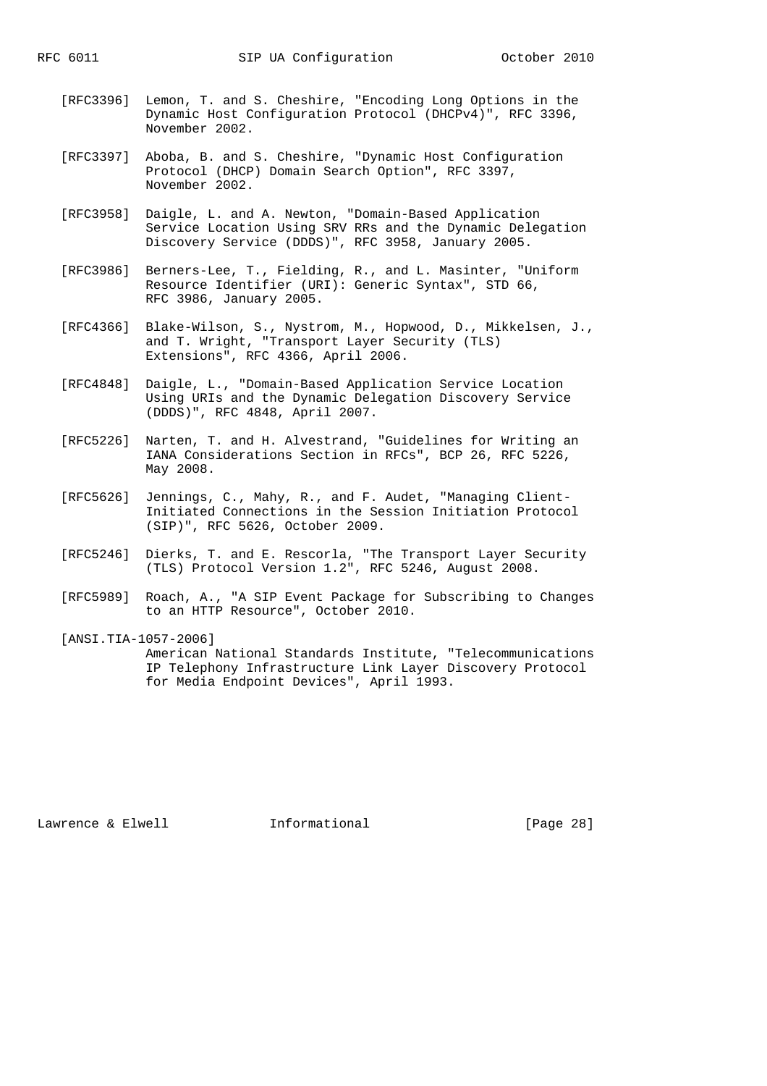- [RFC3396] Lemon, T. and S. Cheshire, "Encoding Long Options in the Dynamic Host Configuration Protocol (DHCPv4)", RFC 3396, November 2002.
- [RFC3397] Aboba, B. and S. Cheshire, "Dynamic Host Configuration Protocol (DHCP) Domain Search Option", RFC 3397, November 2002.
- [RFC3958] Daigle, L. and A. Newton, "Domain-Based Application Service Location Using SRV RRs and the Dynamic Delegation Discovery Service (DDDS)", RFC 3958, January 2005.
- [RFC3986] Berners-Lee, T., Fielding, R., and L. Masinter, "Uniform Resource Identifier (URI): Generic Syntax", STD 66, RFC 3986, January 2005.
- [RFC4366] Blake-Wilson, S., Nystrom, M., Hopwood, D., Mikkelsen, J., and T. Wright, "Transport Layer Security (TLS) Extensions", RFC 4366, April 2006.
- [RFC4848] Daigle, L., "Domain-Based Application Service Location Using URIs and the Dynamic Delegation Discovery Service (DDDS)", RFC 4848, April 2007.
- [RFC5226] Narten, T. and H. Alvestrand, "Guidelines for Writing an IANA Considerations Section in RFCs", BCP 26, RFC 5226, May 2008.
- [RFC5626] Jennings, C., Mahy, R., and F. Audet, "Managing Client- Initiated Connections in the Session Initiation Protocol (SIP)", RFC 5626, October 2009.
- [RFC5246] Dierks, T. and E. Rescorla, "The Transport Layer Security (TLS) Protocol Version 1.2", RFC 5246, August 2008.
- [RFC5989] Roach, A., "A SIP Event Package for Subscribing to Changes to an HTTP Resource", October 2010.
- [ANSI.TIA-1057-2006] American National Standards Institute, "Telecommunications IP Telephony Infrastructure Link Layer Discovery Protocol for Media Endpoint Devices", April 1993.

Lawrence & Elwell **Informational** [Page 28]